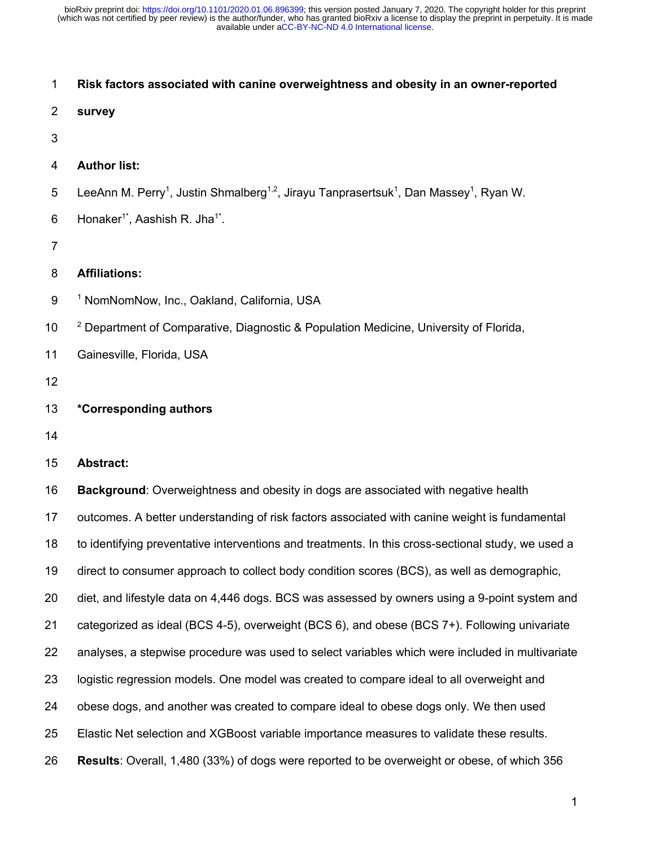| 1                | Risk factors associated with canine overweightness and obesity in an owner-reported                                                    |
|------------------|----------------------------------------------------------------------------------------------------------------------------------------|
| $\overline{2}$   | survey                                                                                                                                 |
| 3                |                                                                                                                                        |
| 4                | <b>Author list:</b>                                                                                                                    |
| 5                | LeeAnn M. Perry <sup>1</sup> , Justin Shmalberg <sup>1,2</sup> , Jirayu Tanprasertsuk <sup>1</sup> , Dan Massey <sup>1</sup> , Ryan W. |
| 6                | Honaker <sup>1*</sup> , Aashish R. Jha <sup>1*</sup> .                                                                                 |
| $\overline{7}$   |                                                                                                                                        |
| 8                | <b>Affiliations:</b>                                                                                                                   |
| $\boldsymbol{9}$ | <sup>1</sup> NomNomNow, Inc., Oakland, California, USA                                                                                 |
| 10               | <sup>2</sup> Department of Comparative, Diagnostic & Population Medicine, University of Florida,                                       |
| 11               | Gainesville, Florida, USA                                                                                                              |
| 12               |                                                                                                                                        |
| 13               | *Corresponding authors                                                                                                                 |
| 14               |                                                                                                                                        |
| 15               | <b>Abstract:</b>                                                                                                                       |
| 16               | Background: Overweightness and obesity in dogs are associated with negative health                                                     |
| 17               | outcomes. A better understanding of risk factors associated with canine weight is fundamental                                          |
| 18               | to identifying preventative interventions and treatments. In this cross-sectional study, we used a                                     |
| 19               | direct to consumer approach to collect body condition scores (BCS), as well as demographic,                                            |
| 20               | diet, and lifestyle data on 4,446 dogs. BCS was assessed by owners using a 9-point system and                                          |
| 21               | categorized as ideal (BCS 4-5), overweight (BCS 6), and obese (BCS 7+). Following univariate                                           |
| 22               | analyses, a stepwise procedure was used to select variables which were included in multivariate                                        |
| 23               | logistic regression models. One model was created to compare ideal to all overweight and                                               |
| 24               | obese dogs, and another was created to compare ideal to obese dogs only. We then used                                                  |
| 25               | Elastic Net selection and XGBoost variable importance measures to validate these results.                                              |
| 26               | Results: Overall, 1,480 (33%) of dogs were reported to be overweight or obese, of which 356                                            |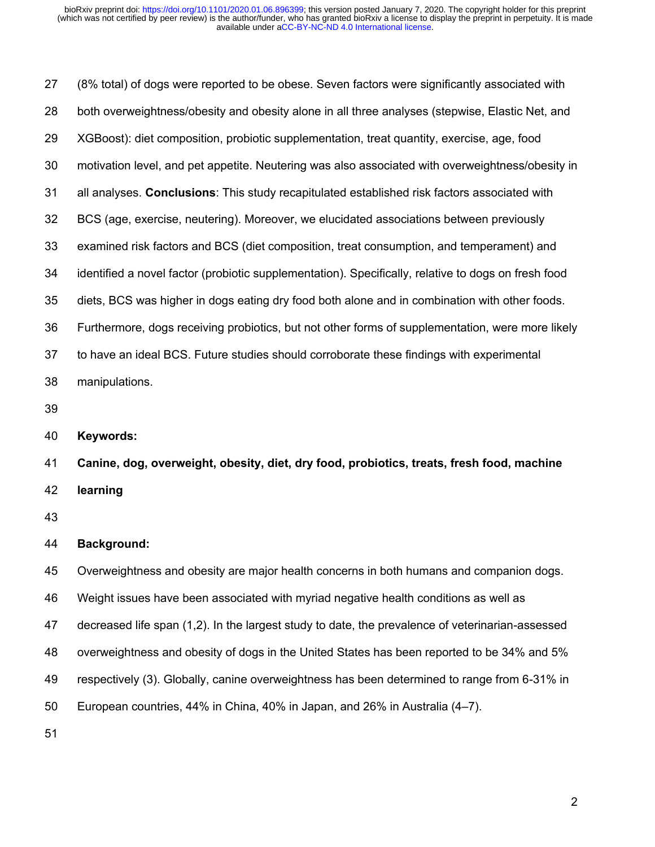(8% total) of dogs were reported to be obese. Seven factors were significantly associated with both overweightness/obesity and obesity alone in all three analyses (stepwise, Elastic Net, and XGBoost): diet composition, probiotic supplementation, treat quantity, exercise, age, food motivation level, and pet appetite. Neutering was also associated with overweightness/obesity in all analyses. **Conclusions**: This study recapitulated established risk factors associated with BCS (age, exercise, neutering). Moreover, we elucidated associations between previously examined risk factors and BCS (diet composition, treat consumption, and temperament) and identified a novel factor (probiotic supplementation). Specifically, relative to dogs on fresh food diets, BCS was higher in dogs eating dry food both alone and in combination with other foods. Furthermore, dogs receiving probiotics, but not other forms of supplementation, were more likely to have an ideal BCS. Future studies should corroborate these findings with experimental manipulations. **Keywords: Canine, dog, overweight, obesity, diet, dry food, probiotics, treats, fresh food, machine learning Background:** Overweightness and obesity are major health concerns in both humans and companion dogs. Weight issues have been associated with myriad negative health conditions as well as decreased life span (1,2). In the largest study to date, the prevalence of veterinarian-assessed overweightness and obesity of dogs in the United States has been reported to be 34% and 5%

respectively (3). Globally, canine overweightness has been determined to range from 6-31% in

European countries, 44% in China, 40% in Japan, and 26% in Australia (4–7).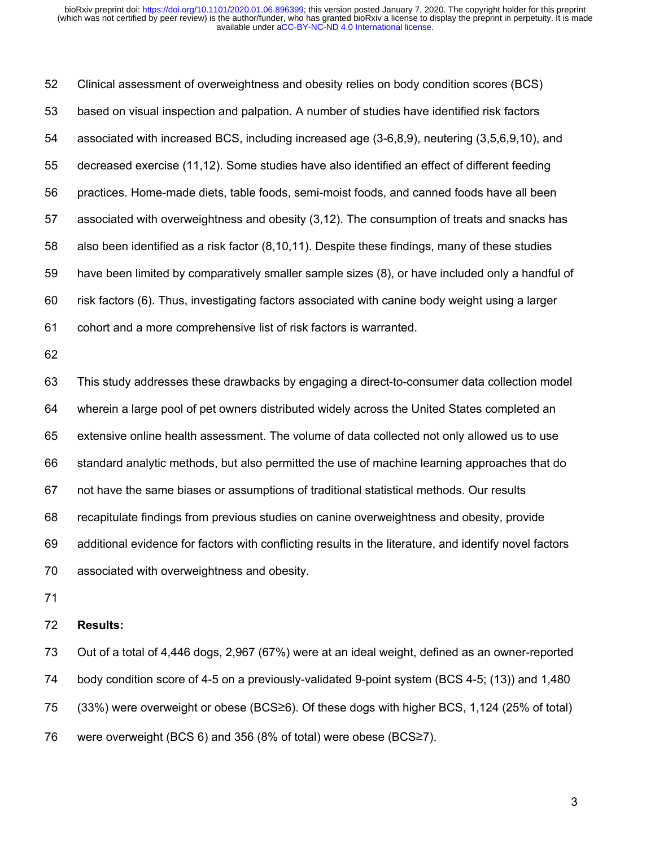Clinical assessment of overweightness and obesity relies on body condition scores (BCS) based on visual inspection and palpation. A number of studies have identified risk factors associated with increased BCS, including increased age (3-6,8,9), neutering (3,5,6,9,10), and decreased exercise (11,12). Some studies have also identified an effect of different feeding practices. Home-made diets, table foods, semi-moist foods, and canned foods have all been associated with overweightness and obesity (3,12). The consumption of treats and snacks has also been identified as a risk factor (8,10,11). Despite these findings, many of these studies have been limited by comparatively smaller sample sizes (8), or have included only a handful of risk factors (6). Thus, investigating factors associated with canine body weight using a larger cohort and a more comprehensive list of risk factors is warranted. This study addresses these drawbacks by engaging a direct-to-consumer data collection model wherein a large pool of pet owners distributed widely across the United States completed an extensive online health assessment. The volume of data collected not only allowed us to use standard analytic methods, but also permitted the use of machine learning approaches that do not have the same biases or assumptions of traditional statistical methods. Our results recapitulate findings from previous studies on canine overweightness and obesity, provide additional evidence for factors with conflicting results in the literature, and identify novel factors associated with overweightness and obesity.

## **Results:**

 Out of a total of 4,446 dogs, 2,967 (67%) were at an ideal weight, defined as an owner-reported body condition score of 4-5 on a previously-validated 9-point system (BCS 4-5; (13)) and 1,480 (33%) were overweight or obese (BCS≥6). Of these dogs with higher BCS, 1,124 (25% of total) were overweight (BCS 6) and 356 (8% of total) were obese (BCS≥7).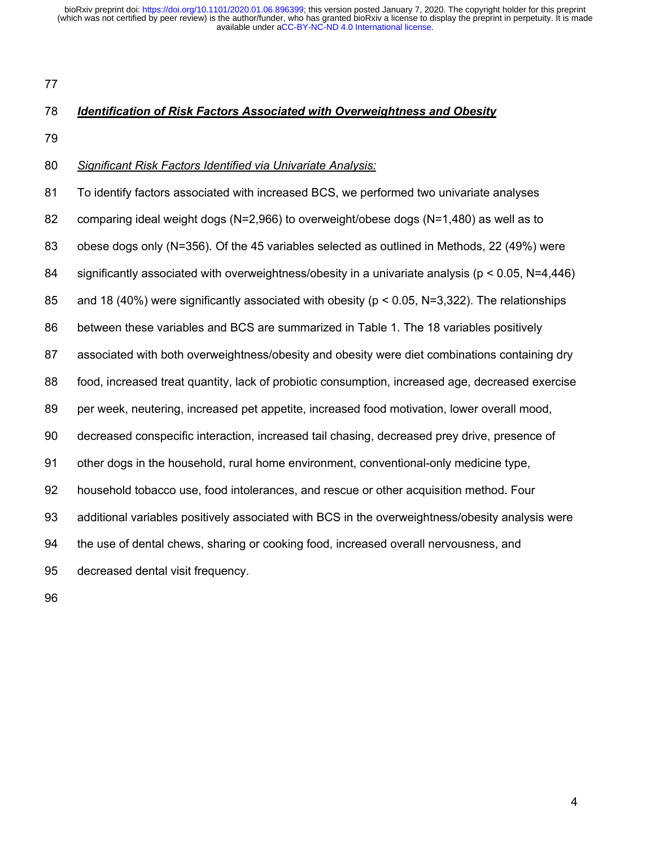## *Identification of Risk Factors Associated with Overweightness and Obesity*

## *Significant Risk Factors Identified via Univariate Analysis:*

 To identify factors associated with increased BCS, we performed two univariate analyses comparing ideal weight dogs (N=2,966) to overweight/obese dogs (N=1,480) as well as to obese dogs only (N=356). Of the 45 variables selected as outlined in Methods, 22 (49%) were significantly associated with overweightness/obesity in a univariate analysis (p < 0.05, N=4,446) and 18 (40%) were significantly associated with obesity (p < 0.05, N=3,322). The relationships between these variables and BCS are summarized in Table 1. The 18 variables positively associated with both overweightness/obesity and obesity were diet combinations containing dry food, increased treat quantity, lack of probiotic consumption, increased age, decreased exercise per week, neutering, increased pet appetite, increased food motivation, lower overall mood, decreased conspecific interaction, increased tail chasing, decreased prey drive, presence of other dogs in the household, rural home environment, conventional-only medicine type, household tobacco use, food intolerances, and rescue or other acquisition method. Four additional variables positively associated with BCS in the overweightness/obesity analysis were the use of dental chews, sharing or cooking food, increased overall nervousness, and decreased dental visit frequency.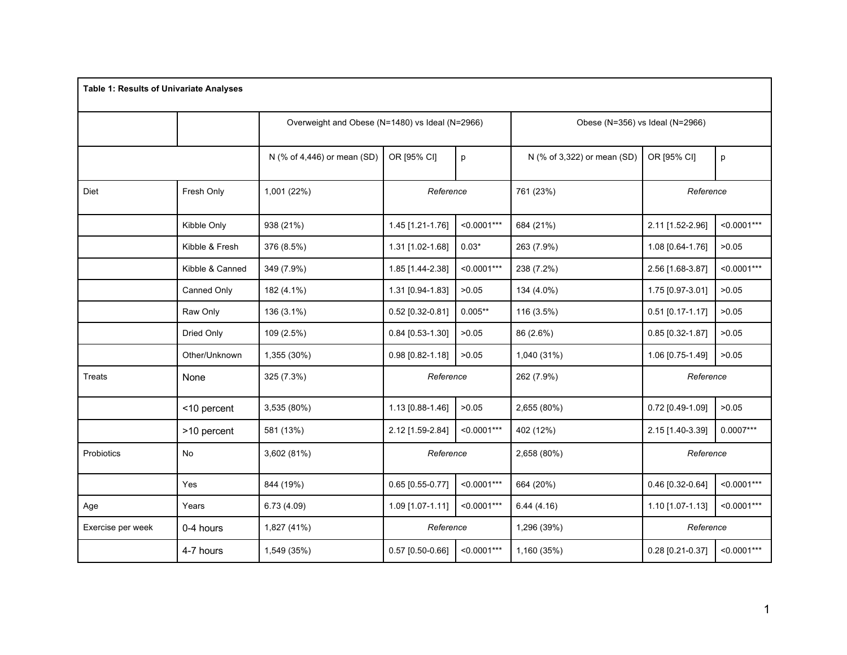| <b>Table 1: Results of Univariate Analyses</b> |                 |                             |                                                 |               |                             |                                 |               |
|------------------------------------------------|-----------------|-----------------------------|-------------------------------------------------|---------------|-----------------------------|---------------------------------|---------------|
|                                                |                 |                             | Overweight and Obese (N=1480) vs Ideal (N=2966) |               |                             | Obese (N=356) vs Ideal (N=2966) |               |
|                                                |                 | N (% of 4,446) or mean (SD) | OR [95% CI]                                     | p             | N (% of 3,322) or mean (SD) | OR [95% CI]                     | p             |
| Diet                                           | Fresh Only      | 1,001 (22%)                 | Reference                                       |               | 761 (23%)                   | Reference                       |               |
|                                                | Kibble Only     | 938 (21%)                   | 1.45 [1.21-1.76]                                | $< 0.0001***$ | 684 (21%)                   | 2.11 [1.52-2.96]                | $< 0.0001***$ |
|                                                | Kibble & Fresh  | 376 (8.5%)                  | 1.31 [1.02-1.68]                                | $0.03*$       | 263 (7.9%)                  | 1.08 [0.64-1.76]                | >0.05         |
|                                                | Kibble & Canned | 349 (7.9%)                  | 1.85 [1.44-2.38]                                | $< 0.0001***$ | 238 (7.2%)                  | 2.56 [1.68-3.87]                | $< 0.0001***$ |
|                                                | Canned Only     | 182 (4.1%)                  | 1.31 [0.94-1.83]                                | >0.05         | 134 (4.0%)                  | 1.75 [0.97-3.01]                | >0.05         |
|                                                | Raw Only        | 136 (3.1%)                  | 0.52 [0.32-0.81]                                | $0.005**$     | 116 (3.5%)                  | $0.51$ [0.17-1.17]              | >0.05         |
|                                                | Dried Only      | 109 (2.5%)                  | 0.84 [0.53-1.30]                                | >0.05         | 86 (2.6%)                   | 0.85 [0.32-1.87]                | >0.05         |
|                                                | Other/Unknown   | 1,355 (30%)                 | 0.98 [0.82-1.18]                                | >0.05         | 1,040 (31%)                 | 1.06 [0.75-1.49]                | >0.05         |
| <b>Treats</b>                                  | None            | 325 (7.3%)                  | Reference                                       |               | 262 (7.9%)                  | Reference                       |               |
|                                                | <10 percent     | 3,535 (80%)                 | 1.13 [0.88-1.46]                                | >0.05         | 2,655 (80%)                 | 0.72 [0.49-1.09]                | >0.05         |
|                                                | >10 percent     | 581 (13%)                   | 2.12 [1.59-2.84]                                | $< 0.0001***$ | 402 (12%)                   | 2.15 [1.40-3.39]                | $0.0007***$   |
| Probiotics                                     | No              | 3,602 (81%)                 | Reference                                       |               | 2,658 (80%)                 | Reference                       |               |
|                                                | Yes             | 844 (19%)                   | $0.65$ [0.55-0.77]                              | $< 0.0001***$ | 664 (20%)                   | 0.46 [0.32-0.64]                | $< 0.0001***$ |
| Age                                            | Years           | 6.73(4.09)                  | 1.09 [1.07-1.11]                                | $< 0.0001***$ | 6.44(4.16)                  | 1.10 [1.07-1.13]                | $< 0.0001***$ |
| Exercise per week                              | 0-4 hours       | 1,827 (41%)                 | Reference                                       |               | 1,296 (39%)                 | Reference                       |               |
|                                                | 4-7 hours       | 1,549 (35%)                 | $0.57$ [0.50-0.66]                              | $< 0.0001***$ | 1,160 (35%)                 | 0.28 [0.21-0.37]                | $< 0.0001***$ |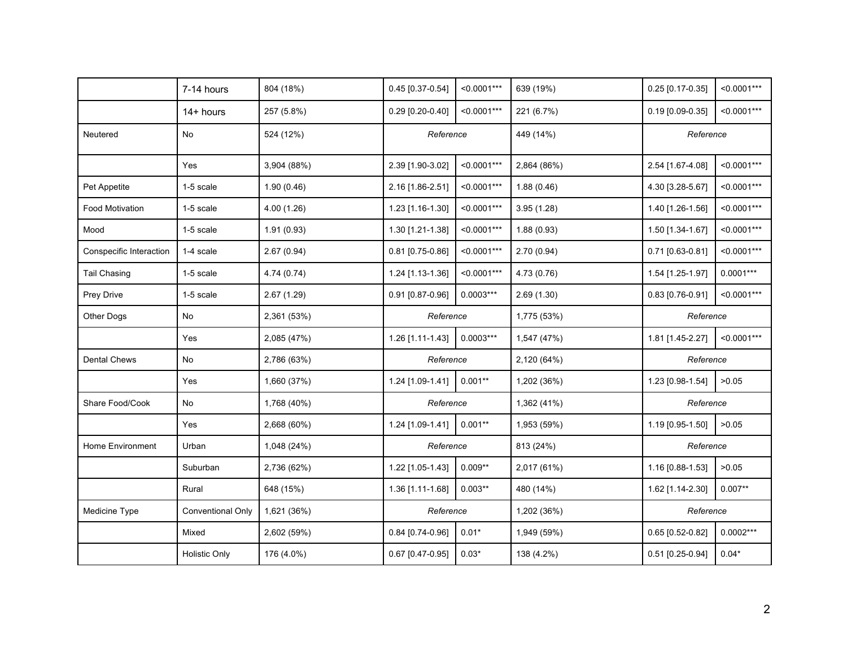|                         | 7-14 hours               | 804 (18%)   | 0.45 [0.37-0.54] | $< 0.0001***$ | 639 (19%)   | $0.25$ [0.17-0.35] | $< 0.0001***$ |  |
|-------------------------|--------------------------|-------------|------------------|---------------|-------------|--------------------|---------------|--|
|                         | 14+ hours                | 257 (5.8%)  | 0.29 [0.20-0.40] | $< 0.0001***$ | 221 (6.7%)  | 0.19 [0.09-0.35]   | $< 0.0001***$ |  |
| Neutered                | No                       | 524 (12%)   | Reference        |               | 449 (14%)   |                    | Reference     |  |
|                         | Yes                      | 3,904 (88%) | 2.39 [1.90-3.02] | $< 0.0001***$ | 2,864 (86%) | 2.54 [1.67-4.08]   | $< 0.0001***$ |  |
| Pet Appetite            | 1-5 scale                | 1.90(0.46)  | 2.16 [1.86-2.51] | $< 0.0001***$ | 1.88(0.46)  | 4.30 [3.28-5.67]   | $< 0.0001***$ |  |
| <b>Food Motivation</b>  | 1-5 scale                | 4.00(1.26)  | 1.23 [1.16-1.30] | $< 0.0001***$ | 3.95(1.28)  | 1.40 [1.26-1.56]   | $< 0.0001***$ |  |
| Mood                    | 1-5 scale                | 1.91(0.93)  | 1.30 [1.21-1.38] | $< 0.0001***$ | 1.88(0.93)  | 1.50 [1.34-1.67]   | $< 0.0001***$ |  |
| Conspecific Interaction | 1-4 scale                | 2.67(0.94)  | 0.81 [0.75-0.86] | $< 0.0001***$ | 2.70(0.94)  | 0.71 [0.63-0.81]   | $< 0.0001***$ |  |
| <b>Tail Chasing</b>     | 1-5 scale                | 4.74 (0.74) | 1.24 [1.13-1.36] | $< 0.0001***$ | 4.73(0.76)  | 1.54 [1.25-1.97]   | $0.0001***$   |  |
| Prey Drive              | 1-5 scale                | 2.67(1.29)  | 0.91 [0.87-0.96] | $0.0003***$   | 2.69(1.30)  | 0.83 [0.76-0.91]   | $< 0.0001***$ |  |
| Other Dogs              | No                       | 2,361 (53%) | Reference        |               | 1,775 (53%) | Reference          |               |  |
|                         | Yes                      | 2,085 (47%) | 1.26 [1.11-1.43] | $0.0003***$   | 1,547 (47%) | 1.81 [1.45-2.27]   | $< 0.0001***$ |  |
| <b>Dental Chews</b>     | No                       | 2,786 (63%) | Reference        |               | 2,120 (64%) | Reference          |               |  |
|                         | Yes                      | 1,660 (37%) | 1.24 [1.09-1.41] | $0.001**$     | 1,202 (36%) | 1.23 [0.98-1.54]   | >0.05         |  |
| Share Food/Cook         | No                       | 1,768 (40%) | Reference        |               | 1,362 (41%) | Reference          |               |  |
|                         | Yes                      | 2,668 (60%) | 1.24 [1.09-1.41] | $0.001**$     | 1,953 (59%) | 1.19 [0.95-1.50]   | >0.05         |  |
| Home Environment        | Urban                    | 1,048 (24%) | Reference        |               | 813 (24%)   | Reference          |               |  |
|                         | Suburban                 | 2,736 (62%) | 1.22 [1.05-1.43] | $0.009**$     | 2,017 (61%) | 1.16 [0.88-1.53]   | >0.05         |  |
|                         | Rural                    | 648 (15%)   | 1.36 [1.11-1.68] | $0.003**$     | 480 (14%)   | 1.62 [1.14-2.30]   | $0.007**$     |  |
| Medicine Type           | <b>Conventional Only</b> | 1,621 (36%) | Reference        |               | 1,202 (36%) | Reference          |               |  |
|                         | Mixed                    | 2,602 (59%) | 0.84 [0.74-0.96] | $0.01*$       | 1,949 (59%) | 0.65 [0.52-0.82]   | $0.0002***$   |  |
|                         | <b>Holistic Only</b>     | 176 (4.0%)  | 0.67 [0.47-0.95] | $0.03*$       | 138 (4.2%)  | 0.51 [0.25-0.94]   | $0.04*$       |  |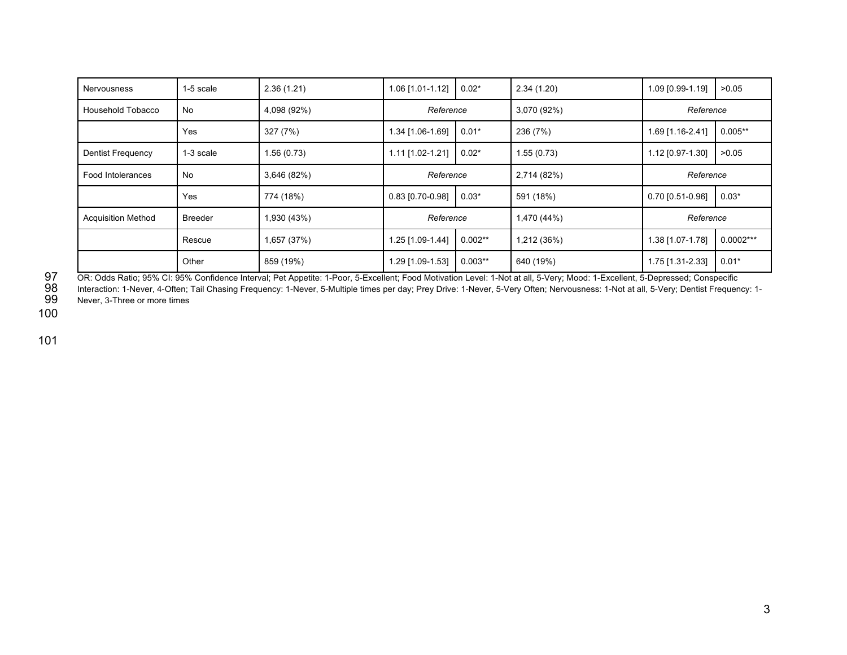| <b>Nervousness</b>        | 1-5 scale      | 2.36(1.21)  | 1.06 [1.01-1.12]   | $0.02*$   | 2.34(1.20)  | 1.09 [0.99-1.19]   | >0.05       |
|---------------------------|----------------|-------------|--------------------|-----------|-------------|--------------------|-------------|
| Household Tobacco         | No             | 4,098 (92%) | Reference          |           | 3,070 (92%) | Reference          |             |
|                           | Yes            | 327 (7%)    | 1.34 [1.06-1.69]   | $0.01*$   | 236 (7%)    | 1.69 [1.16-2.41]   | $0.005**$   |
| <b>Dentist Frequency</b>  | 1-3 scale      | 1.56(0.73)  | 1.11 [1.02-1.21]   | $0.02*$   | 1.55(0.73)  | 1.12 [0.97-1.30]   | >0.05       |
| Food Intolerances         | No.            | 3,646 (82%) | Reference          |           | 2,714 (82%) | Reference          |             |
|                           | Yes            | 774 (18%)   | $0.83$ [0.70-0.98] | $0.03*$   | 591 (18%)   | $0.70$ [0.51-0.96] | $0.03*$     |
| <b>Acquisition Method</b> | <b>Breeder</b> | 1,930 (43%) | Reference          |           | 1,470 (44%) | Reference          |             |
|                           | Rescue         | 1,657 (37%) | 1.25 [1.09-1.44]   | $0.002**$ | 1,212 (36%) | 1.38 [1.07-1.78]   | $0.0002***$ |
|                           | Other          | 859 (19%)   | 1.29 [1.09-1.53]   | $0.003**$ | 640 (19%)   | 1.75 [1.31-2.33]   | $0.01*$     |

100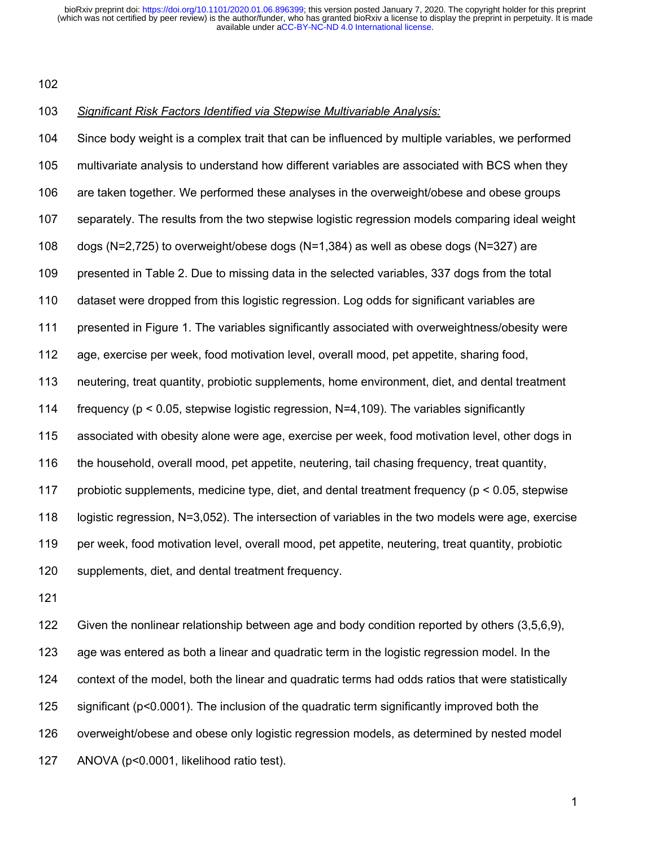#### *Significant Risk Factors Identified via Stepwise Multivariable Analysis:*

 Since body weight is a complex trait that can be influenced by multiple variables, we performed multivariate analysis to understand how different variables are associated with BCS when they are taken together. We performed these analyses in the overweight/obese and obese groups separately. The results from the two stepwise logistic regression models comparing ideal weight dogs (N=2,725) to overweight/obese dogs (N=1,384) as well as obese dogs (N=327) are presented in Table 2. Due to missing data in the selected variables, 337 dogs from the total dataset were dropped from this logistic regression. Log odds for significant variables are presented in Figure 1. The variables significantly associated with overweightness/obesity were age, exercise per week, food motivation level, overall mood, pet appetite, sharing food, neutering, treat quantity, probiotic supplements, home environment, diet, and dental treatment 114 frequency ( $p \le 0.05$ , stepwise logistic regression, N=4,109). The variables significantly associated with obesity alone were age, exercise per week, food motivation level, other dogs in the household, overall mood, pet appetite, neutering, tail chasing frequency, treat quantity, probiotic supplements, medicine type, diet, and dental treatment frequency (p < 0.05, stepwise logistic regression, N=3,052). The intersection of variables in the two models were age, exercise per week, food motivation level, overall mood, pet appetite, neutering, treat quantity, probiotic supplements, diet, and dental treatment frequency.

 Given the nonlinear relationship between age and body condition reported by others (3,5,6,9), age was entered as both a linear and quadratic term in the logistic regression model. In the context of the model, both the linear and quadratic terms had odds ratios that were statistically significant (p<0.0001). The inclusion of the quadratic term significantly improved both the overweight/obese and obese only logistic regression models, as determined by nested model ANOVA (p<0.0001, likelihood ratio test).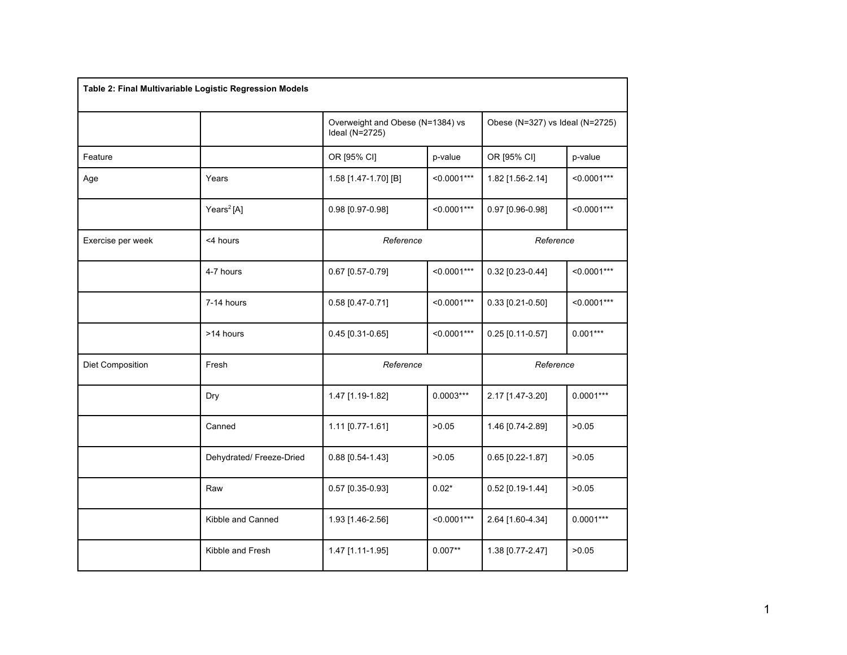| Table 2: Final Multivariable Logistic Regression Models |                          |                                                    |               |                                 |               |
|---------------------------------------------------------|--------------------------|----------------------------------------------------|---------------|---------------------------------|---------------|
|                                                         |                          | Overweight and Obese (N=1384) vs<br>Ideal (N=2725) |               | Obese (N=327) vs Ideal (N=2725) |               |
| Feature                                                 |                          | OR [95% CI]                                        | p-value       | OR [95% CI]                     | p-value       |
| Age                                                     | Years                    | 1.58 [1.47-1.70] [B]                               | $< 0.0001***$ | 1.82 [1.56-2.14]                | $< 0.0001***$ |
|                                                         | Years <sup>2</sup> [A]   | 0.98 [0.97-0.98]                                   | $< 0.0001***$ | 0.97 [0.96-0.98]                | $< 0.0001***$ |
| Exercise per week                                       | <4 hours                 | Reference                                          |               | Reference                       |               |
|                                                         | 4-7 hours                | 0.67 [0.57-0.79]                                   | $< 0.0001***$ | 0.32 [0.23-0.44]                | $< 0.0001***$ |
|                                                         | 7-14 hours               | 0.58 [0.47-0.71]                                   | $< 0.0001***$ | $0.33$ [0.21-0.50]              | $< 0.0001***$ |
|                                                         | >14 hours                | 0.45 [0.31-0.65]                                   | $< 0.0001***$ | $0.25$ [0.11-0.57]              | $0.001***$    |
| Diet Composition                                        | Fresh                    | Reference                                          |               | Reference                       |               |
|                                                         | Dry                      | 1.47 [1.19-1.82]                                   | $0.0003***$   | 2.17 [1.47-3.20]                | $0.0001***$   |
|                                                         | Canned                   | 1.11 [0.77-1.61]                                   | >0.05         | 1.46 [0.74-2.89]                | >0.05         |
|                                                         | Dehydrated/ Freeze-Dried | 0.88 [0.54-1.43]                                   | >0.05         | 0.65 [0.22-1.87]                | >0.05         |
|                                                         | Raw                      | 0.57 [0.35-0.93]                                   | $0.02*$       | 0.52 [0.19-1.44]                | >0.05         |
|                                                         | Kibble and Canned        | 1.93 [1.46-2.56]                                   | $< 0.0001***$ | 2.64 [1.60-4.34]                | $0.0001***$   |
|                                                         | Kibble and Fresh         | 1.47 [1.11-1.95]                                   | $0.007**$     | 1.38 [0.77-2.47]                | >0.05         |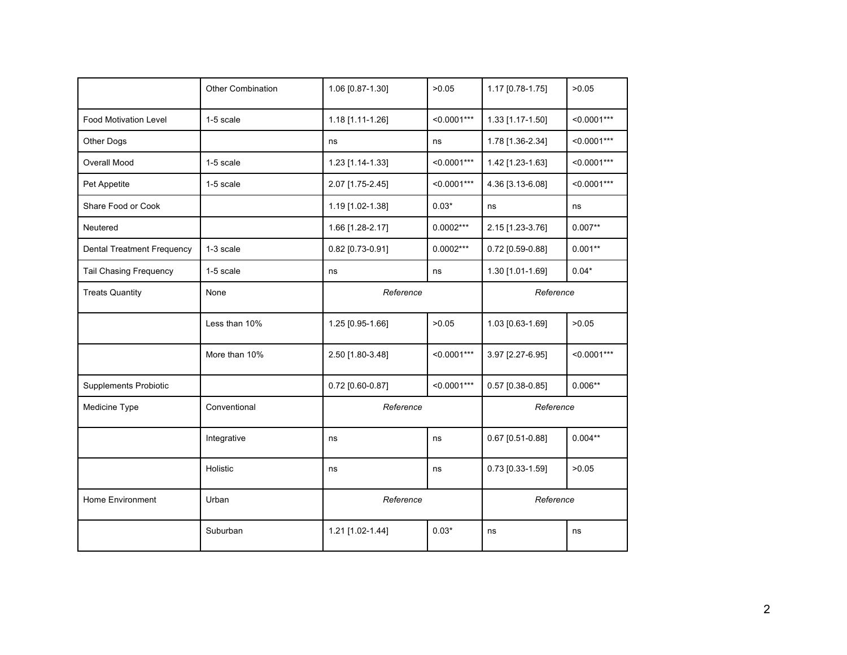|                                   | <b>Other Combination</b> | 1.06 [0.87-1.30] | >0.05         | 1.17 [0.78-1.75]   | >0.05         |
|-----------------------------------|--------------------------|------------------|---------------|--------------------|---------------|
| <b>Food Motivation Level</b>      | 1-5 scale                | 1.18 [1.11-1.26] | $< 0.0001***$ | 1.33 [1.17-1.50]   | $< 0.0001***$ |
| Other Dogs                        |                          | ns               | ns            | 1.78 [1.36-2.34]   | $< 0.0001***$ |
| Overall Mood                      | 1-5 scale                | 1.23 [1.14-1.33] | $< 0.0001***$ | 1.42 [1.23-1.63]   | $< 0.0001***$ |
| Pet Appetite                      | 1-5 scale                | 2.07 [1.75-2.45] | $< 0.0001***$ | 4.36 [3.13-6.08]   | $< 0.0001***$ |
| Share Food or Cook                |                          | 1.19 [1.02-1.38] | $0.03*$       | ns                 | ns            |
| Neutered                          |                          | 1.66 [1.28-2.17] | $0.0002***$   | 2.15 [1.23-3.76]   | $0.007**$     |
| <b>Dental Treatment Frequency</b> | 1-3 scale                | 0.82 [0.73-0.91] | $0.0002***$   | 0.72 [0.59-0.88]   | $0.001**$     |
| <b>Tail Chasing Frequency</b>     | 1-5 scale                | ns               | ns            | 1.30 [1.01-1.69]   | $0.04*$       |
| <b>Treats Quantity</b>            | None                     | Reference        |               | Reference          |               |
|                                   | Less than 10%            | 1.25 [0.95-1.66] | >0.05         | 1.03 [0.63-1.69]   | >0.05         |
|                                   | More than 10%            | 2.50 [1.80-3.48] | $< 0.0001***$ | 3.97 [2.27-6.95]   | $< 0.0001***$ |
| <b>Supplements Probiotic</b>      |                          | 0.72 [0.60-0.87] | $< 0.0001***$ | $0.57$ [0.38-0.85] | $0.006**$     |
| Medicine Type                     | Conventional             | Reference        |               | Reference          |               |
|                                   | Integrative              | ns               | ns            | 0.67 [0.51-0.88]   | $0.004**$     |
|                                   | Holistic                 | ns               | ns            | 0.73 [0.33-1.59]   | >0.05         |
| Home Environment                  | Urban                    | Reference        |               | Reference          |               |
|                                   | Suburban                 | 1.21 [1.02-1.44] | $0.03*$       | ns                 | ns            |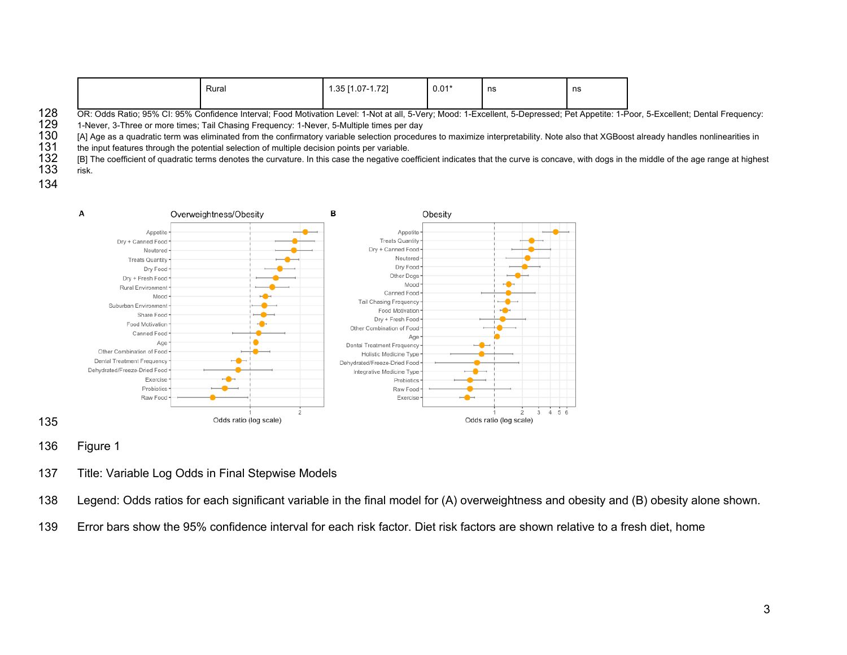|  | Rural | 701<br>ט טי<br>$\ldots$ vi – | $0.01*$ | ns | ns |
|--|-------|------------------------------|---------|----|----|
|  |       |                              |         |    |    |

OR: Odds Ratio; 95% CI: 95% Confidence Interval; Food Motivation Level: 1-Not at all, 5-Very; Mood: 1-Excellent, 5-Depressed; Pet Appetite: 1-Poor, 5-Excellent; Dental Frequency: 1-Never, 5-Multiple times per day<br>129 1-Nev

129 1-Never, 3-Three or more times; Tail Chasing Frequency: 1-Never, 5-Multiple times per day<br>130 IAL Age as a quadratic term was eliminated from the confirmatory variable selection procedu

130 [A] Age as a quadratic term was eliminated from the confirmatory variable selection procedures to maximize interpretability. Note also that XGBoost already handles nonlinearities in<br>131 the input features through the p

131 the input features through the potential selection of multiple decision points per variable.<br>132 [B] The coefficient of quadratic terms denotes the curvature. In this case the negative co

 [B] The coefficient of quadratic terms denotes the curvature. In this case the negative coefficient indicates that the curve is concave, with dogs in the middle of the age range at highest risk.



- Figure 1
- Title: Variable Log Odds in Final Stepwise Models
- Legend: Odds ratios for each significant variable in the final model for (A) overweightness and obesity and (B) obesity alone shown.
- Error bars show the 95% confidence interval for each risk factor. Diet risk factors are shown relative to a fresh diet, home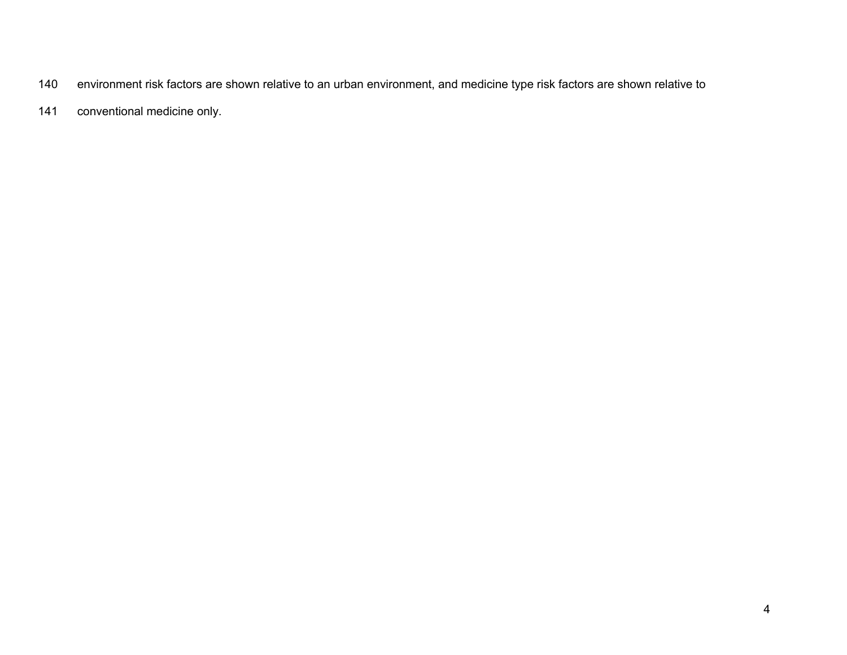- environment risk factors are shown relative to an urban environment, and medicine type risk factors are shown relative to
- conventional medicine only.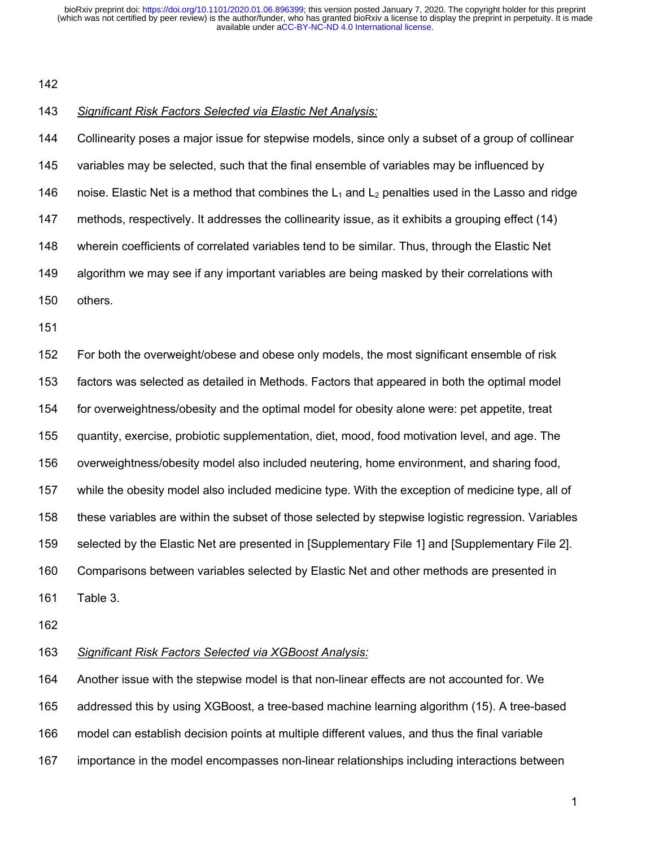## *Significant Risk Factors Selected via Elastic Net Analysis:*

 Collinearity poses a major issue for stepwise models, since only a subset of a group of collinear variables may be selected, such that the final ensemble of variables may be influenced by 146 noise. Elastic Net is a method that combines the  $L_1$  and  $L_2$  penalties used in the Lasso and ridge methods, respectively. It addresses the collinearity issue, as it exhibits a grouping effect (14) wherein coefficients of correlated variables tend to be similar. Thus, through the Elastic Net algorithm we may see if any important variables are being masked by their correlations with others. For both the overweight/obese and obese only models, the most significant ensemble of risk factors was selected as detailed in Methods. Factors that appeared in both the optimal model for overweightness/obesity and the optimal model for obesity alone were: pet appetite, treat

quantity, exercise, probiotic supplementation, diet, mood, food motivation level, and age. The

overweightness/obesity model also included neutering, home environment, and sharing food,

while the obesity model also included medicine type. With the exception of medicine type, all of

these variables are within the subset of those selected by stepwise logistic regression. Variables

selected by the Elastic Net are presented in [Supplementary File 1] and [Supplementary File 2].

Comparisons between variables selected by Elastic Net and other methods are presented in

- Table 3.
- 

## *Significant Risk Factors Selected via XGBoost Analysis:*

 Another issue with the stepwise model is that non-linear effects are not accounted for. We addressed this by using XGBoost, a tree-based machine learning algorithm (15). A tree-based model can establish decision points at multiple different values, and thus the final variable importance in the model encompasses non-linear relationships including interactions between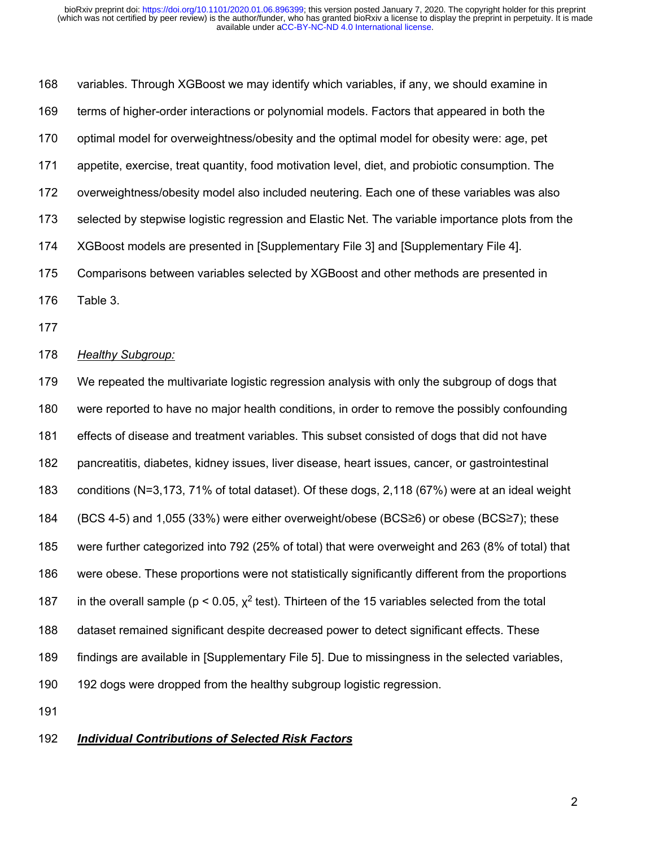variables. Through XGBoost we may identify which variables, if any, we should examine in terms of higher-order interactions or polynomial models. Factors that appeared in both the optimal model for overweightness/obesity and the optimal model for obesity were: age, pet appetite, exercise, treat quantity, food motivation level, diet, and probiotic consumption. The overweightness/obesity model also included neutering. Each one of these variables was also selected by stepwise logistic regression and Elastic Net. The variable importance plots from the XGBoost models are presented in [Supplementary File 3] and [Supplementary File 4]. Comparisons between variables selected by XGBoost and other methods are presented in Table 3.

## *Healthy Subgroup:*

 We repeated the multivariate logistic regression analysis with only the subgroup of dogs that were reported to have no major health conditions, in order to remove the possibly confounding effects of disease and treatment variables. This subset consisted of dogs that did not have pancreatitis, diabetes, kidney issues, liver disease, heart issues, cancer, or gastrointestinal conditions (N=3,173, 71% of total dataset). Of these dogs, 2,118 (67%) were at an ideal weight (BCS 4-5) and 1,055 (33%) were either overweight/obese (BCS≥6) or obese (BCS≥7); these were further categorized into 792 (25% of total) that were overweight and 263 (8% of total) that were obese. These proportions were not statistically significantly different from the proportions 187 in the overall sample ( $p < 0.05$ ,  $\chi^2$  test). Thirteen of the 15 variables selected from the total dataset remained significant despite decreased power to detect significant effects. These findings are available in [Supplementary File 5]. Due to missingness in the selected variables, 192 dogs were dropped from the healthy subgroup logistic regression.

#### *Individual Contributions of Selected Risk Factors*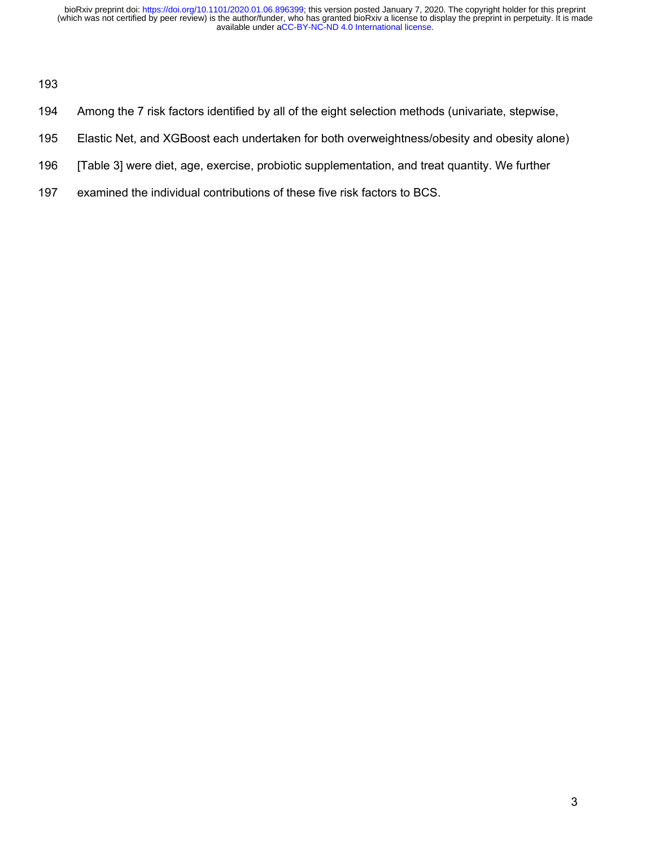- Among the 7 risk factors identified by all of the eight selection methods (univariate, stepwise,
- Elastic Net, and XGBoost each undertaken for both overweightness/obesity and obesity alone)
- [Table 3] were diet, age, exercise, probiotic supplementation, and treat quantity. We further
- examined the individual contributions of these five risk factors to BCS.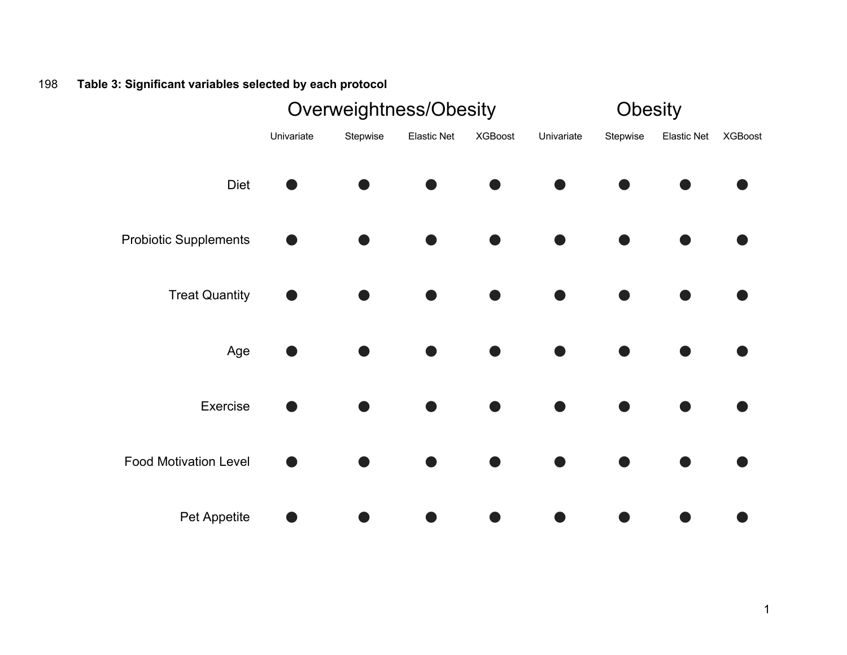# 198 **Table 3: Significant variables selected by each protocol**

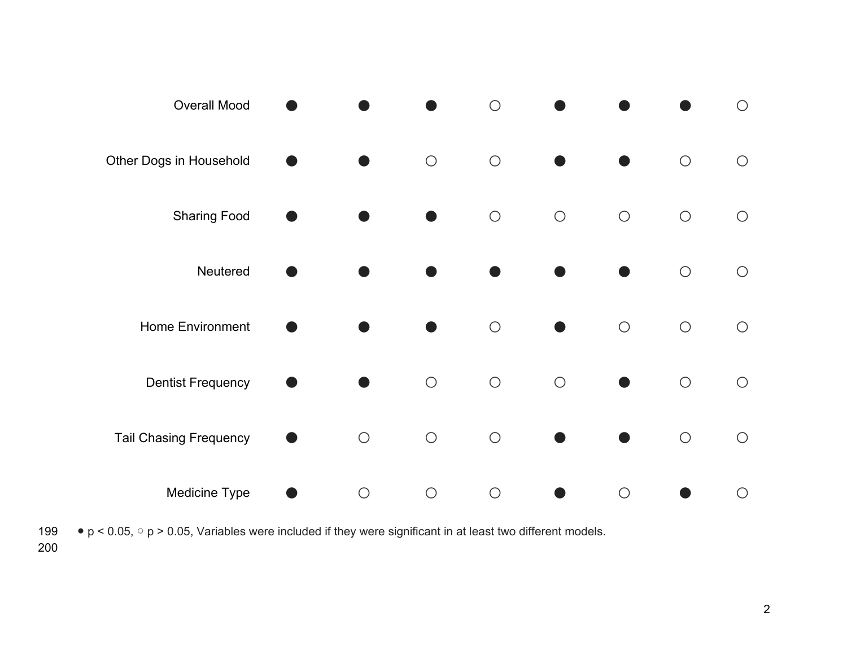

199  $\bullet$  p < 0.05,  $\circ$  p > 0.05, Variables were included if they were significant in at least two different models.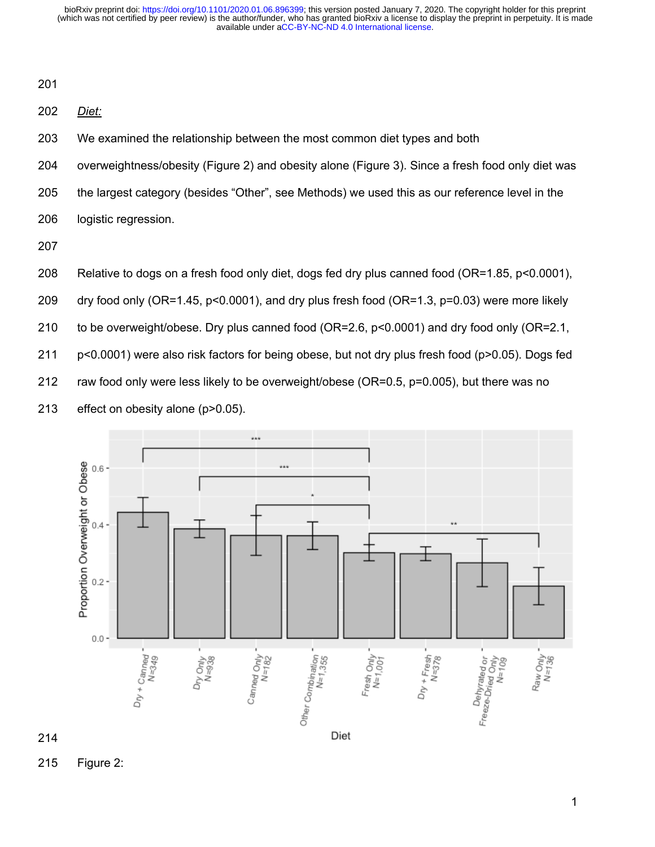*Diet:*

We examined the relationship between the most common diet types and both

overweightness/obesity (Figure 2) and obesity alone (Figure 3). Since a fresh food only diet was

the largest category (besides "Other", see Methods) we used this as our reference level in the

logistic regression.

Relative to dogs on a fresh food only diet, dogs fed dry plus canned food (OR=1.85, p<0.0001),

dry food only (OR=1.45, p<0.0001), and dry plus fresh food (OR=1.3, p=0.03) were more likely

to be overweight/obese. Dry plus canned food (OR=2.6, p<0.0001) and dry food only (OR=2.1,

p<0.0001) were also risk factors for being obese, but not dry plus fresh food (p>0.05). Dogs fed

raw food only were less likely to be overweight/obese (OR=0.5, p=0.005), but there was no

effect on obesity alone (p>0.05).



Figure 2: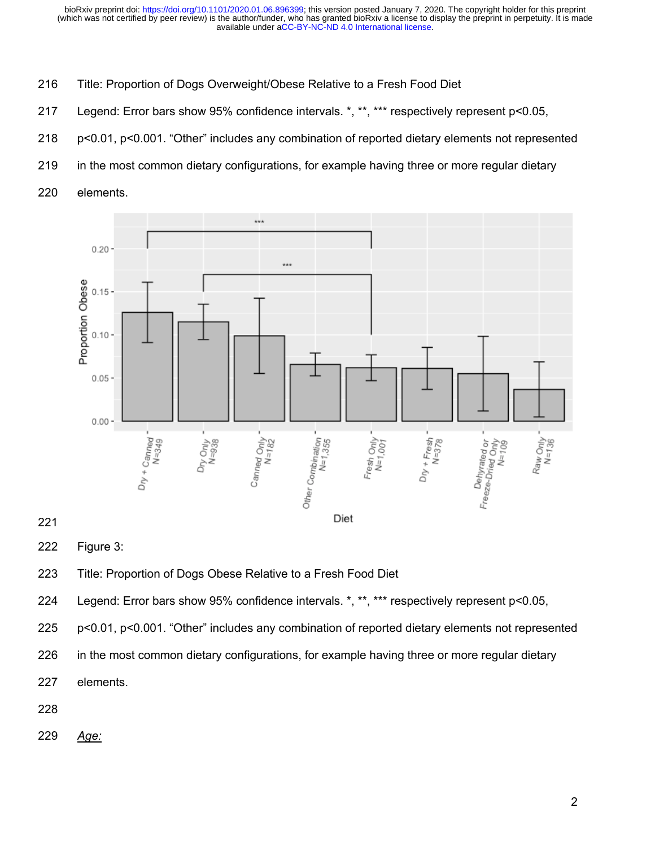- Title: Proportion of Dogs Overweight/Obese Relative to a Fresh Food Diet
- Legend: Error bars show 95% confidence intervals. \*, \*\*, \*\*\* respectively represent p<0.05,
- p<0.01, p<0.001. "Other" includes any combination of reported dietary elements not represented
- in the most common dietary configurations, for example having three or more regular dietary
- elements.



## 

Figure 3:

Title: Proportion of Dogs Obese Relative to a Fresh Food Diet

Legend: Error bars show 95% confidence intervals. \*, \*\*, \*\*\* respectively represent p<0.05,

p<0.01, p<0.001. "Other" includes any combination of reported dietary elements not represented

226 in the most common dietary configurations, for example having three or more regular dietary

elements.

*Age:*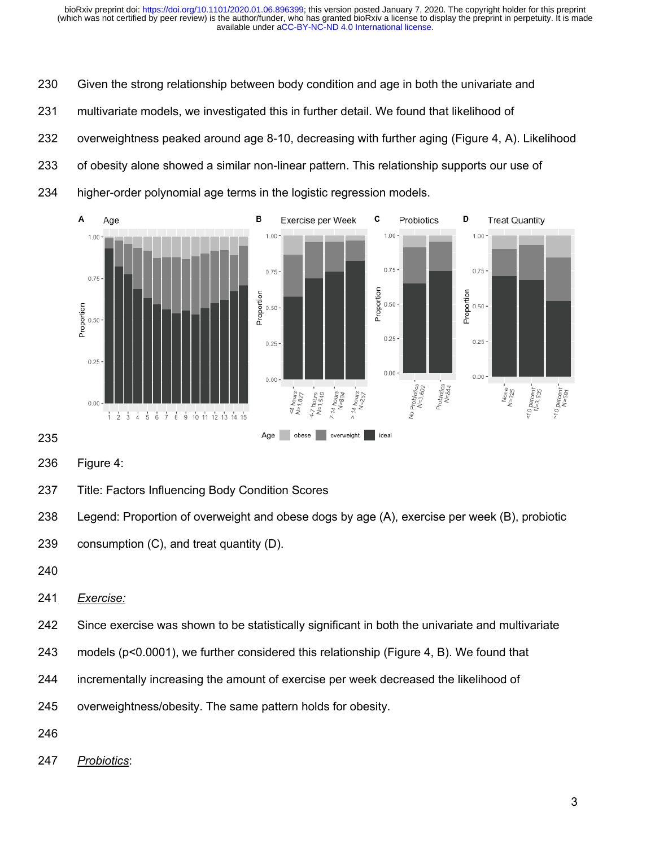Given the strong relationship between body condition and age in both the univariate and

multivariate models, we investigated this in further detail. We found that likelihood of

overweightness peaked around age 8-10, decreasing with further aging (Figure 4, A). Likelihood

- 233 of obesity alone showed a similar non-linear pattern. This relationship supports our use of
- higher-order polynomial age terms in the logistic regression models.



Figure 4:

Title: Factors Influencing Body Condition Scores

Legend: Proportion of overweight and obese dogs by age (A), exercise per week (B), probiotic

```
239 consumption (C), and treat quantity (D).
```
*Exercise:*

Since exercise was shown to be statistically significant in both the univariate and multivariate

- models (p<0.0001), we further considered this relationship (Figure 4, B). We found that
- incrementally increasing the amount of exercise per week decreased the likelihood of

overweightness/obesity. The same pattern holds for obesity.

- 
- *Probiotics*: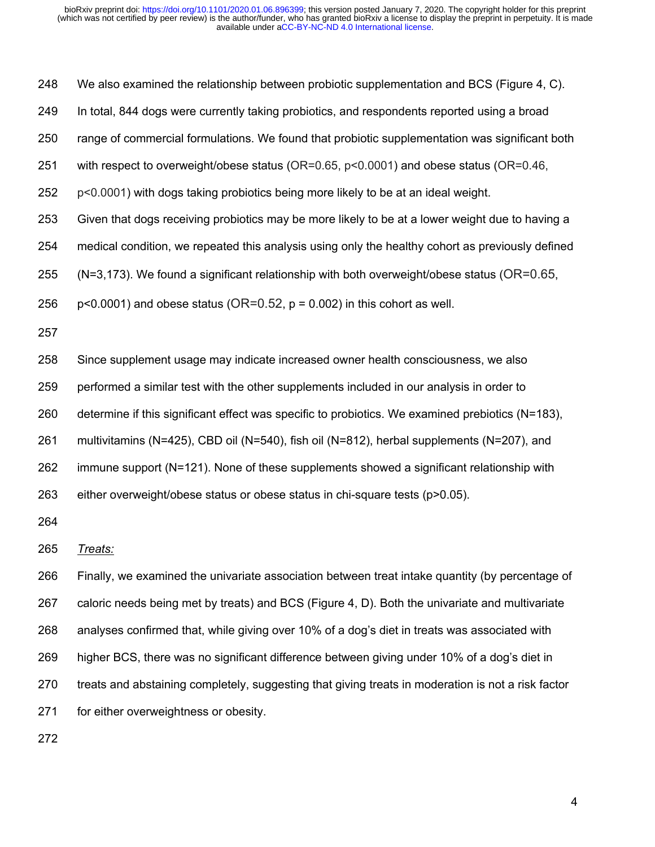We also examined the relationship between probiotic supplementation and BCS (Figure 4, C).

- In total, 844 dogs were currently taking probiotics, and respondents reported using a broad
- range of commercial formulations. We found that probiotic supplementation was significant both
- with respect to overweight/obese status (OR=0.65, p<0.0001) and obese status (OR=0.46,
- p<0.0001) with dogs taking probiotics being more likely to be at an ideal weight.
- Given that dogs receiving probiotics may be more likely to be at a lower weight due to having a
- medical condition, we repeated this analysis using only the healthy cohort as previously defined
- 255 (N=3,173). We found a significant relationship with both overweight/obese status ( $OR=0.65$ ,
- 256 p $\leq$  p $\leq$ 0.0001) and obese status (OR=0.52, p = 0.002) in this cohort as well.
- 
- Since supplement usage may indicate increased owner health consciousness, we also
- performed a similar test with the other supplements included in our analysis in order to
- determine if this significant effect was specific to probiotics. We examined prebiotics (N=183),
- multivitamins (N=425), CBD oil (N=540), fish oil (N=812), herbal supplements (N=207), and
- immune support (N=121). None of these supplements showed a significant relationship with
- either overweight/obese status or obese status in chi-square tests (p>0.05).

*Treats:*

 Finally, we examined the univariate association between treat intake quantity (by percentage of caloric needs being met by treats) and BCS (Figure 4, D). Both the univariate and multivariate analyses confirmed that, while giving over 10% of a dog's diet in treats was associated with higher BCS, there was no significant difference between giving under 10% of a dog's diet in treats and abstaining completely, suggesting that giving treats in moderation is not a risk factor for either overweightness or obesity.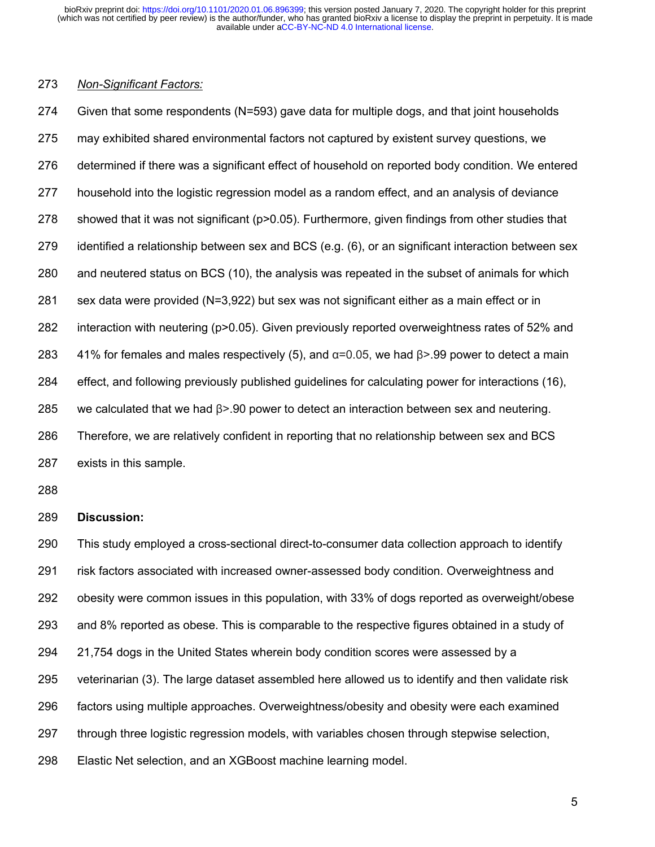## *Non-Significant Factors:*

 Given that some respondents (N=593) gave data for multiple dogs, and that joint households may exhibited shared environmental factors not captured by existent survey questions, we determined if there was a significant effect of household on reported body condition. We entered household into the logistic regression model as a random effect, and an analysis of deviance 278 showed that it was not significant (p>0.05). Furthermore, given findings from other studies that identified a relationship between sex and BCS (e.g. (6), or an significant interaction between sex and neutered status on BCS (10), the analysis was repeated in the subset of animals for which sex data were provided (N=3,922) but sex was not significant either as a main effect or in interaction with neutering (p>0.05). Given previously reported overweightness rates of 52% and 283 41% for females and males respectively (5), and  $\alpha$ =0.05, we had  $\beta$ >.99 power to detect a main effect, and following previously published guidelines for calculating power for interactions (16), we calculated that we had β>.90 power to detect an interaction between sex and neutering. Therefore, we are relatively confident in reporting that no relationship between sex and BCS exists in this sample.

#### **Discussion:**

 This study employed a cross-sectional direct-to-consumer data collection approach to identify risk factors associated with increased owner-assessed body condition. Overweightness and obesity were common issues in this population, with 33% of dogs reported as overweight/obese and 8% reported as obese. This is comparable to the respective figures obtained in a study of 21,754 dogs in the United States wherein body condition scores were assessed by a veterinarian (3). The large dataset assembled here allowed us to identify and then validate risk factors using multiple approaches. Overweightness/obesity and obesity were each examined through three logistic regression models, with variables chosen through stepwise selection, Elastic Net selection, and an XGBoost machine learning model.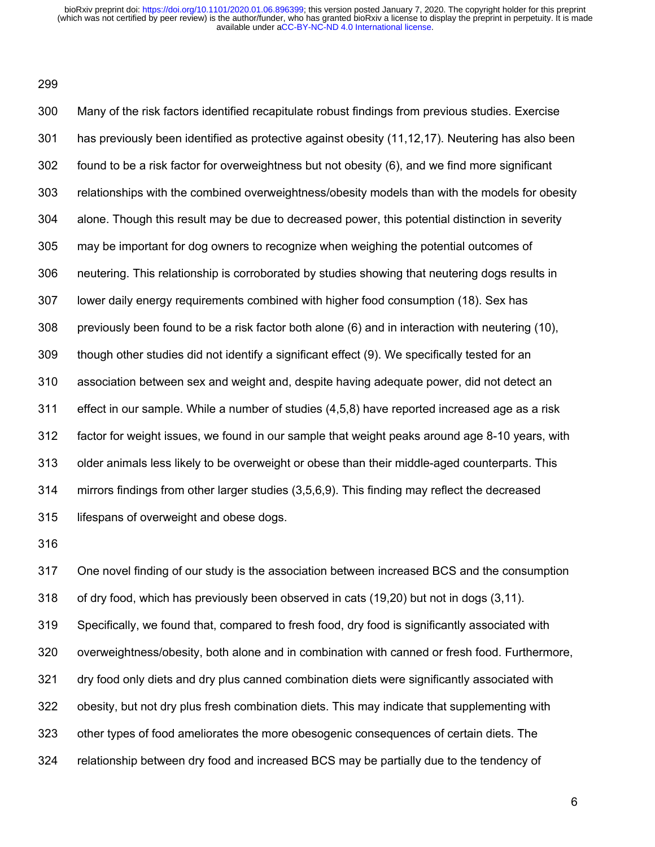Many of the risk factors identified recapitulate robust findings from previous studies. Exercise has previously been identified as protective against obesity (11,12,17). Neutering has also been found to be a risk factor for overweightness but not obesity (6), and we find more significant relationships with the combined overweightness/obesity models than with the models for obesity alone. Though this result may be due to decreased power, this potential distinction in severity may be important for dog owners to recognize when weighing the potential outcomes of neutering. This relationship is corroborated by studies showing that neutering dogs results in lower daily energy requirements combined with higher food consumption (18). Sex has previously been found to be a risk factor both alone (6) and in interaction with neutering (10), though other studies did not identify a significant effect (9). We specifically tested for an association between sex and weight and, despite having adequate power, did not detect an effect in our sample. While a number of studies (4,5,8) have reported increased age as a risk factor for weight issues, we found in our sample that weight peaks around age 8-10 years, with older animals less likely to be overweight or obese than their middle-aged counterparts. This mirrors findings from other larger studies (3,5,6,9). This finding may reflect the decreased lifespans of overweight and obese dogs.

 One novel finding of our study is the association between increased BCS and the consumption of dry food, which has previously been observed in cats (19,20) but not in dogs (3,11). Specifically, we found that, compared to fresh food, dry food is significantly associated with overweightness/obesity, both alone and in combination with canned or fresh food. Furthermore, dry food only diets and dry plus canned combination diets were significantly associated with obesity, but not dry plus fresh combination diets. This may indicate that supplementing with other types of food ameliorates the more obesogenic consequences of certain diets. The relationship between dry food and increased BCS may be partially due to the tendency of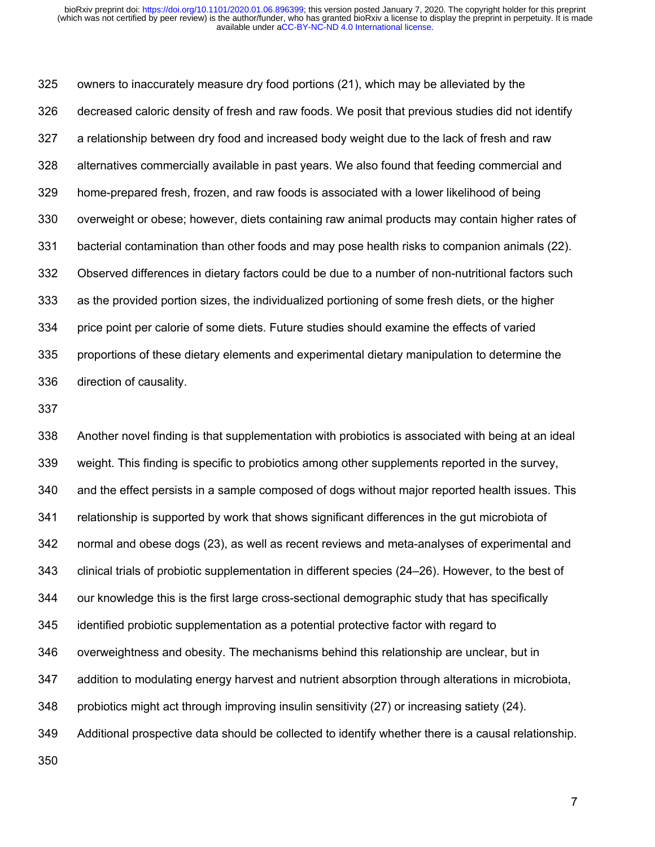owners to inaccurately measure dry food portions (21), which may be alleviated by the decreased caloric density of fresh and raw foods. We posit that previous studies did not identify a relationship between dry food and increased body weight due to the lack of fresh and raw alternatives commercially available in past years. We also found that feeding commercial and home-prepared fresh, frozen, and raw foods is associated with a lower likelihood of being overweight or obese; however, diets containing raw animal products may contain higher rates of bacterial contamination than other foods and may pose health risks to companion animals (22). Observed differences in dietary factors could be due to a number of non-nutritional factors such as the provided portion sizes, the individualized portioning of some fresh diets, or the higher price point per calorie of some diets. Future studies should examine the effects of varied proportions of these dietary elements and experimental dietary manipulation to determine the direction of causality.

 Another novel finding is that supplementation with probiotics is associated with being at an ideal weight. This finding is specific to probiotics among other supplements reported in the survey, and the effect persists in a sample composed of dogs without major reported health issues. This relationship is supported by work that shows significant differences in the gut microbiota of normal and obese dogs (23), as well as recent reviews and meta-analyses of experimental and clinical trials of probiotic supplementation in different species (24–26). However, to the best of our knowledge this is the first large cross-sectional demographic study that has specifically identified probiotic supplementation as a potential protective factor with regard to overweightness and obesity. The mechanisms behind this relationship are unclear, but in addition to modulating energy harvest and nutrient absorption through alterations in microbiota, probiotics might act through improving insulin sensitivity (27) or increasing satiety (24). Additional prospective data should be collected to identify whether there is a causal relationship.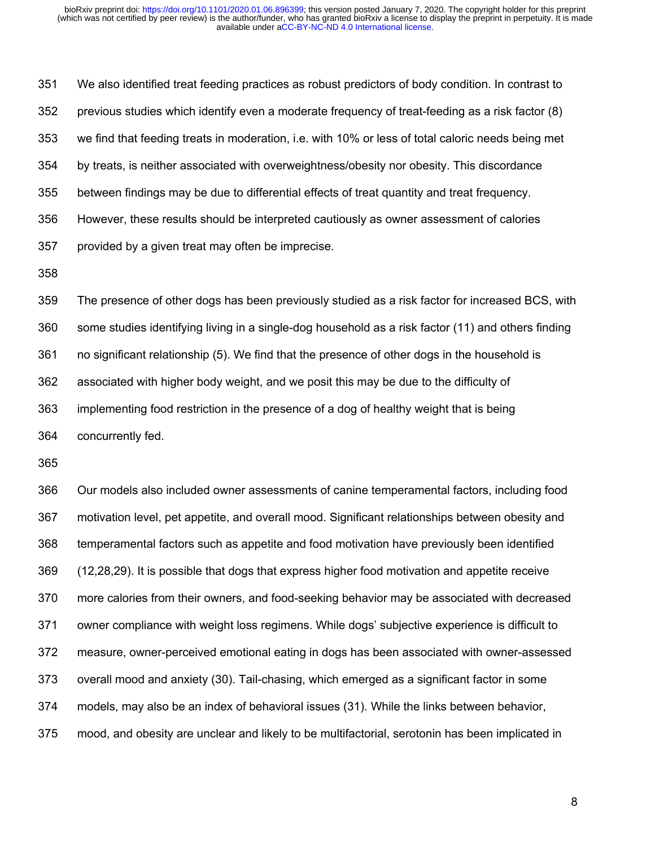We also identified treat feeding practices as robust predictors of body condition. In contrast to previous studies which identify even a moderate frequency of treat-feeding as a risk factor (8) we find that feeding treats in moderation, i.e. with 10% or less of total caloric needs being met by treats, is neither associated with overweightness/obesity nor obesity. This discordance between findings may be due to differential effects of treat quantity and treat frequency. However, these results should be interpreted cautiously as owner assessment of calories provided by a given treat may often be imprecise.

 The presence of other dogs has been previously studied as a risk factor for increased BCS, with some studies identifying living in a single-dog household as a risk factor (11) and others finding no significant relationship (5). We find that the presence of other dogs in the household is associated with higher body weight, and we posit this may be due to the difficulty of implementing food restriction in the presence of a dog of healthy weight that is being concurrently fed.

 Our models also included owner assessments of canine temperamental factors, including food motivation level, pet appetite, and overall mood. Significant relationships between obesity and temperamental factors such as appetite and food motivation have previously been identified (12,28,29). It is possible that dogs that express higher food motivation and appetite receive more calories from their owners, and food-seeking behavior may be associated with decreased owner compliance with weight loss regimens. While dogs' subjective experience is difficult to measure, owner-perceived emotional eating in dogs has been associated with owner-assessed overall mood and anxiety (30). Tail-chasing, which emerged as a significant factor in some models, may also be an index of behavioral issues (31). While the links between behavior, mood, and obesity are unclear and likely to be multifactorial, serotonin has been implicated in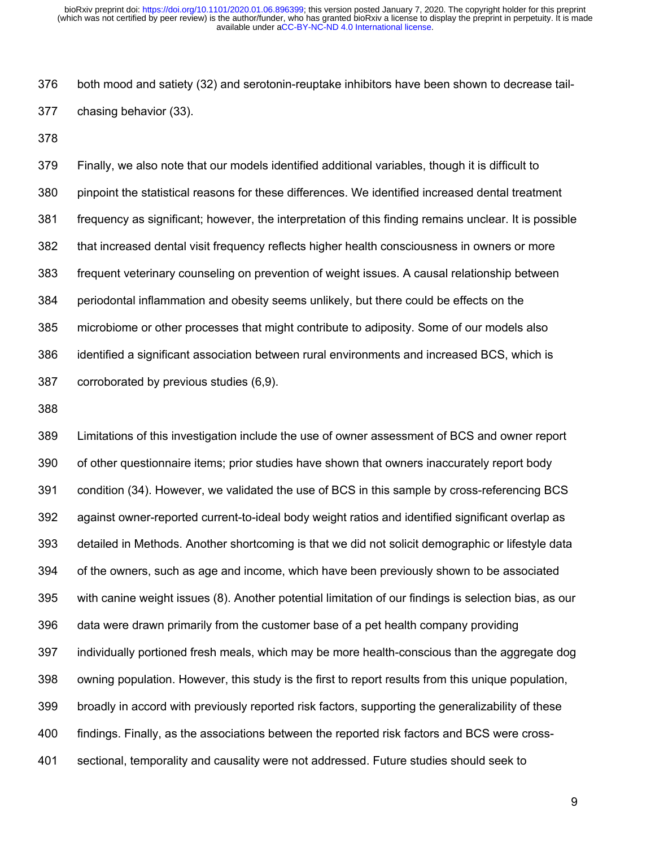both mood and satiety (32) and serotonin-reuptake inhibitors have been shown to decrease tail-chasing behavior (33).

 Finally, we also note that our models identified additional variables, though it is difficult to pinpoint the statistical reasons for these differences. We identified increased dental treatment frequency as significant; however, the interpretation of this finding remains unclear. It is possible that increased dental visit frequency reflects higher health consciousness in owners or more frequent veterinary counseling on prevention of weight issues. A causal relationship between periodontal inflammation and obesity seems unlikely, but there could be effects on the microbiome or other processes that might contribute to adiposity. Some of our models also identified a significant association between rural environments and increased BCS, which is corroborated by previous studies (6,9).

 Limitations of this investigation include the use of owner assessment of BCS and owner report of other questionnaire items; prior studies have shown that owners inaccurately report body condition (34). However, we validated the use of BCS in this sample by cross-referencing BCS against owner-reported current-to-ideal body weight ratios and identified significant overlap as detailed in Methods. Another shortcoming is that we did not solicit demographic or lifestyle data of the owners, such as age and income, which have been previously shown to be associated with canine weight issues (8). Another potential limitation of our findings is selection bias, as our data were drawn primarily from the customer base of a pet health company providing individually portioned fresh meals, which may be more health-conscious than the aggregate dog owning population. However, this study is the first to report results from this unique population, broadly in accord with previously reported risk factors, supporting the generalizability of these findings. Finally, as the associations between the reported risk factors and BCS were cross-sectional, temporality and causality were not addressed. Future studies should seek to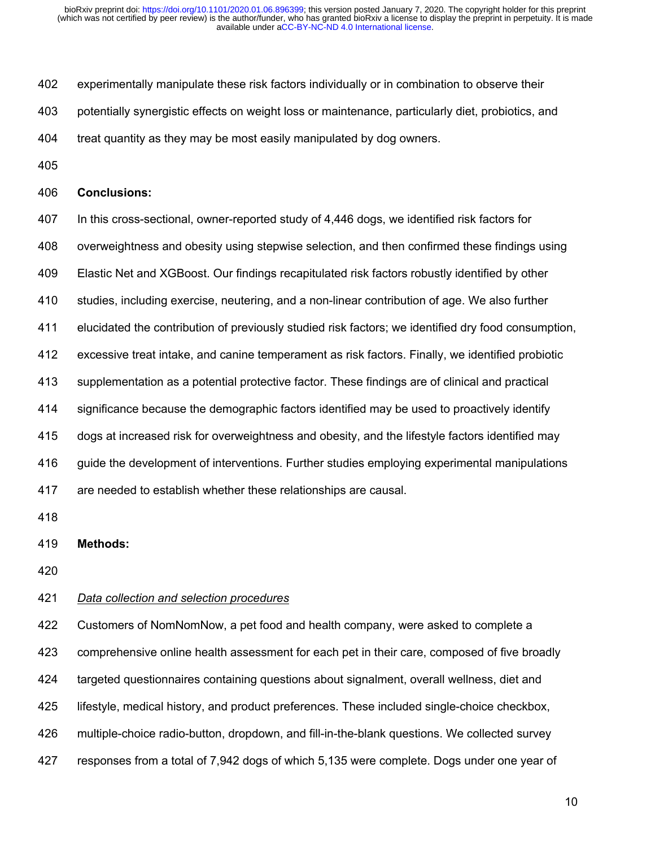- experimentally manipulate these risk factors individually or in combination to observe their
- potentially synergistic effects on weight loss or maintenance, particularly diet, probiotics, and
- treat quantity as they may be most easily manipulated by dog owners.
- 

#### **Conclusions:**

 In this cross-sectional, owner-reported study of 4,446 dogs, we identified risk factors for overweightness and obesity using stepwise selection, and then confirmed these findings using Elastic Net and XGBoost. Our findings recapitulated risk factors robustly identified by other studies, including exercise, neutering, and a non-linear contribution of age. We also further elucidated the contribution of previously studied risk factors; we identified dry food consumption, excessive treat intake, and canine temperament as risk factors. Finally, we identified probiotic supplementation as a potential protective factor. These findings are of clinical and practical significance because the demographic factors identified may be used to proactively identify dogs at increased risk for overweightness and obesity, and the lifestyle factors identified may guide the development of interventions. Further studies employing experimental manipulations are needed to establish whether these relationships are causal.

**Methods:**

#### *Data collection and selection procedures*

 Customers of NomNomNow, a pet food and health company, were asked to complete a comprehensive online health assessment for each pet in their care, composed of five broadly targeted questionnaires containing questions about signalment, overall wellness, diet and lifestyle, medical history, and product preferences. These included single-choice checkbox, multiple-choice radio-button, dropdown, and fill-in-the-blank questions. We collected survey responses from a total of 7,942 dogs of which 5,135 were complete. Dogs under one year of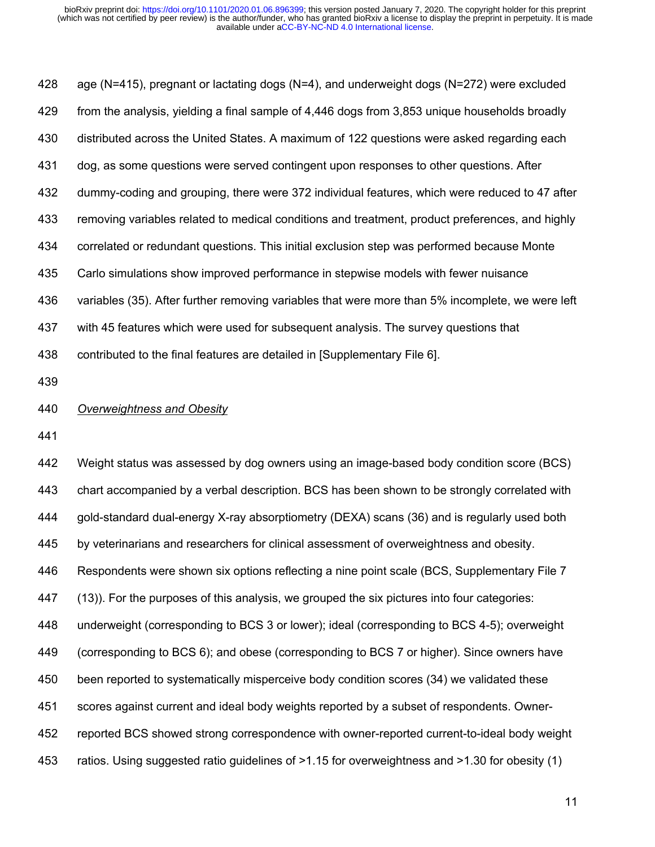age (N=415), pregnant or lactating dogs (N=4), and underweight dogs (N=272) were excluded from the analysis, yielding a final sample of 4,446 dogs from 3,853 unique households broadly distributed across the United States. A maximum of 122 questions were asked regarding each dog, as some questions were served contingent upon responses to other questions. After dummy-coding and grouping, there were 372 individual features, which were reduced to 47 after removing variables related to medical conditions and treatment, product preferences, and highly correlated or redundant questions. This initial exclusion step was performed because Monte Carlo simulations show improved performance in stepwise models with fewer nuisance variables (35). After further removing variables that were more than 5% incomplete, we were left with 45 features which were used for subsequent analysis. The survey questions that contributed to the final features are detailed in [Supplementary File 6]. 

## *Overweightness and Obesity*

 Weight status was assessed by dog owners using an image-based body condition score (BCS) chart accompanied by a verbal description. BCS has been shown to be strongly correlated with gold-standard dual-energy X-ray absorptiometry (DEXA) scans (36) and is regularly used both by veterinarians and researchers for clinical assessment of overweightness and obesity. Respondents were shown six options reflecting a nine point scale (BCS, Supplementary File 7 (13)). For the purposes of this analysis, we grouped the six pictures into four categories: underweight (corresponding to BCS 3 or lower); ideal (corresponding to BCS 4-5); overweight (corresponding to BCS 6); and obese (corresponding to BCS 7 or higher). Since owners have been reported to systematically misperceive body condition scores (34) we validated these scores against current and ideal body weights reported by a subset of respondents. Owner- reported BCS showed strong correspondence with owner-reported current-to-ideal body weight ratios. Using suggested ratio guidelines of >1.15 for overweightness and >1.30 for obesity (1)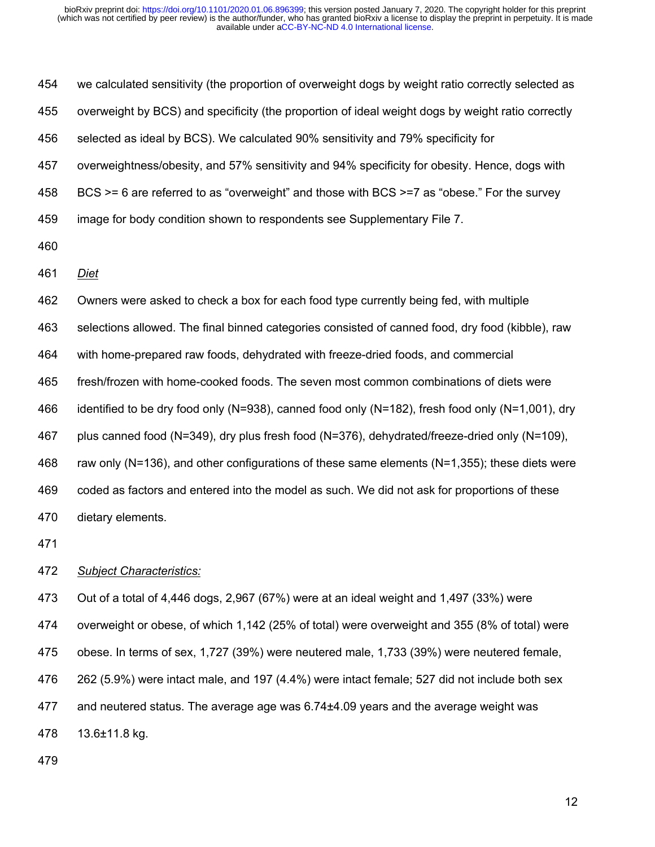we calculated sensitivity (the proportion of overweight dogs by weight ratio correctly selected as overweight by BCS) and specificity (the proportion of ideal weight dogs by weight ratio correctly selected as ideal by BCS). We calculated 90% sensitivity and 79% specificity for overweightness/obesity, and 57% sensitivity and 94% specificity for obesity. Hence, dogs with BCS >= 6 are referred to as "overweight" and those with BCS >=7 as "obese." For the survey image for body condition shown to respondents see Supplementary File 7. *Diet* Owners were asked to check a box for each food type currently being fed, with multiple selections allowed. The final binned categories consisted of canned food, dry food (kibble), raw with home-prepared raw foods, dehydrated with freeze-dried foods, and commercial fresh/frozen with home-cooked foods. The seven most common combinations of diets were identified to be dry food only (N=938), canned food only (N=182), fresh food only (N=1,001), dry plus canned food (N=349), dry plus fresh food (N=376), dehydrated/freeze-dried only (N=109), raw only (N=136), and other configurations of these same elements (N=1,355); these diets were coded as factors and entered into the model as such. We did not ask for proportions of these dietary elements. 

*Subject Characteristics:*

Out of a total of 4,446 dogs, 2,967 (67%) were at an ideal weight and 1,497 (33%) were

overweight or obese, of which 1,142 (25% of total) were overweight and 355 (8% of total) were

obese. In terms of sex, 1,727 (39%) were neutered male, 1,733 (39%) were neutered female,

262 (5.9%) were intact male, and 197 (4.4%) were intact female; 527 did not include both sex

and neutered status. The average age was 6.74±4.09 years and the average weight was

13.6±11.8 kg.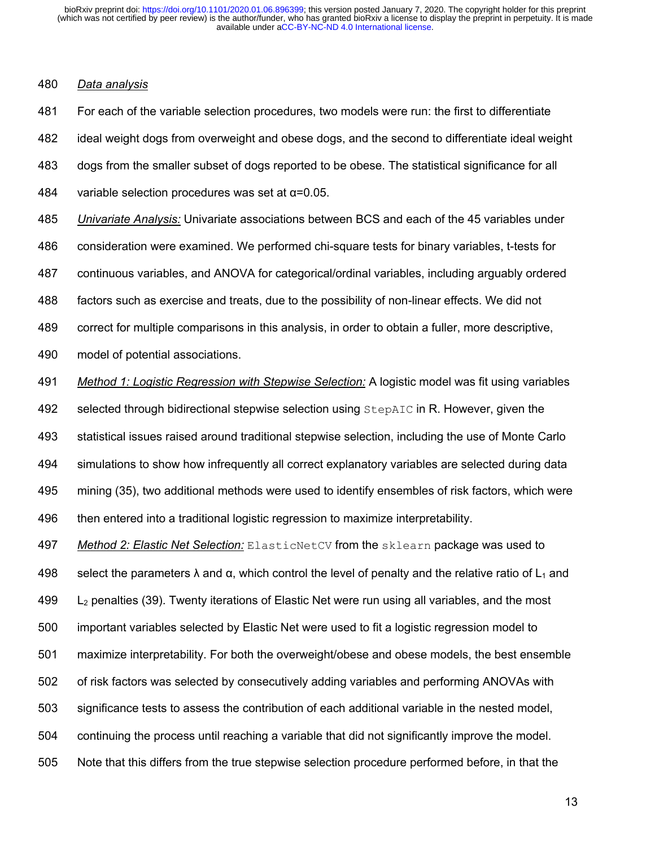## *Data analysis*

 For each of the variable selection procedures, two models were run: the first to differentiate ideal weight dogs from overweight and obese dogs, and the second to differentiate ideal weight dogs from the smaller subset of dogs reported to be obese. The statistical significance for all 484 variable selection procedures was set at  $\alpha$ =0.05. *Univariate Analysis:* Univariate associations between BCS and each of the 45 variables under consideration were examined. We performed chi-square tests for binary variables, t-tests for continuous variables, and ANOVA for categorical/ordinal variables, including arguably ordered factors such as exercise and treats, due to the possibility of non-linear effects. We did not correct for multiple comparisons in this analysis, in order to obtain a fuller, more descriptive, model of potential associations. *Method 1: Logistic Regression with Stepwise Selection:* A logistic model was fit using variables

492 selected through bidirectional stepwise selection using StepAIC in R. However, given the statistical issues raised around traditional stepwise selection, including the use of Monte Carlo simulations to show how infrequently all correct explanatory variables are selected during data mining (35), two additional methods were used to identify ensembles of risk factors, which were then entered into a traditional logistic regression to maximize interpretability.

 *Method 2: Elastic Net Selection:* ElasticNetCV from the sklearn package was used to 498 select the parameters  $\lambda$  and  $\alpha$ , which control the level of penalty and the relative ratio of L<sub>1</sub> and  $L_2$  penalties (39). Twenty iterations of Elastic Net were run using all variables, and the most important variables selected by Elastic Net were used to fit a logistic regression model to maximize interpretability. For both the overweight/obese and obese models, the best ensemble of risk factors was selected by consecutively adding variables and performing ANOVAs with significance tests to assess the contribution of each additional variable in the nested model, continuing the process until reaching a variable that did not significantly improve the model. Note that this differs from the true stepwise selection procedure performed before, in that the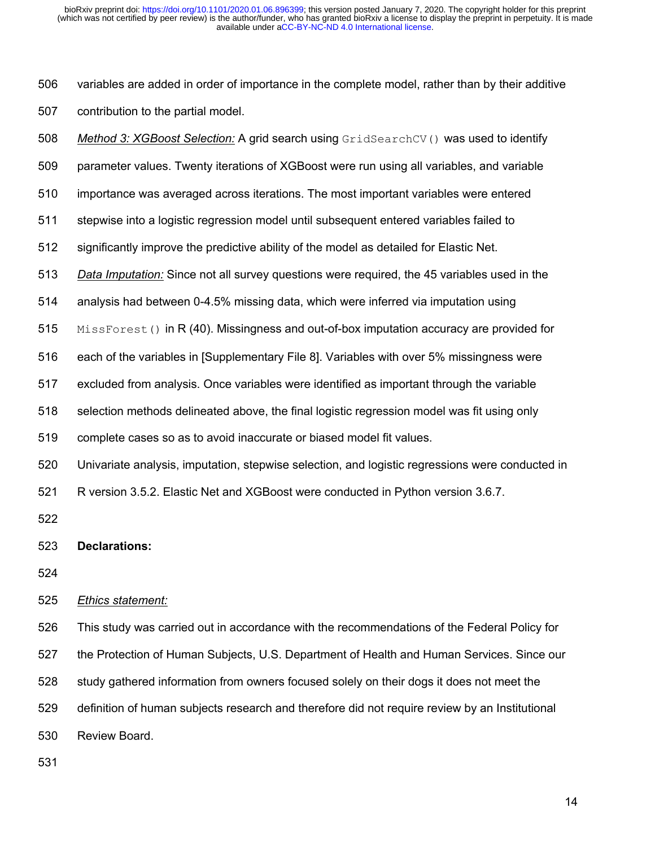variables are added in order of importance in the complete model, rather than by their additive contribution to the partial model.

 *Method 3: XGBoost Selection:* A grid search using GridSearchCV() was used to identify parameter values. Twenty iterations of XGBoost were run using all variables, and variable importance was averaged across iterations. The most important variables were entered stepwise into a logistic regression model until subsequent entered variables failed to significantly improve the predictive ability of the model as detailed for Elastic Net. *Data Imputation:* Since not all survey questions were required, the 45 variables used in the analysis had between 0-4.5% missing data, which were inferred via imputation using 515 MissForest() in R (40). Missingness and out-of-box imputation accuracy are provided for each of the variables in [Supplementary File 8]. Variables with over 5% missingness were excluded from analysis. Once variables were identified as important through the variable selection methods delineated above, the final logistic regression model was fit using only complete cases so as to avoid inaccurate or biased model fit values. Univariate analysis, imputation, stepwise selection, and logistic regressions were conducted in

R version 3.5.2. Elastic Net and XGBoost were conducted in Python version 3.6.7.

## **Declarations:**

## *Ethics statement:*

 This study was carried out in accordance with the recommendations of the Federal Policy for the Protection of Human Subjects, U.S. Department of Health and Human Services. Since our study gathered information from owners focused solely on their dogs it does not meet the definition of human subjects research and therefore did not require review by an Institutional Review Board.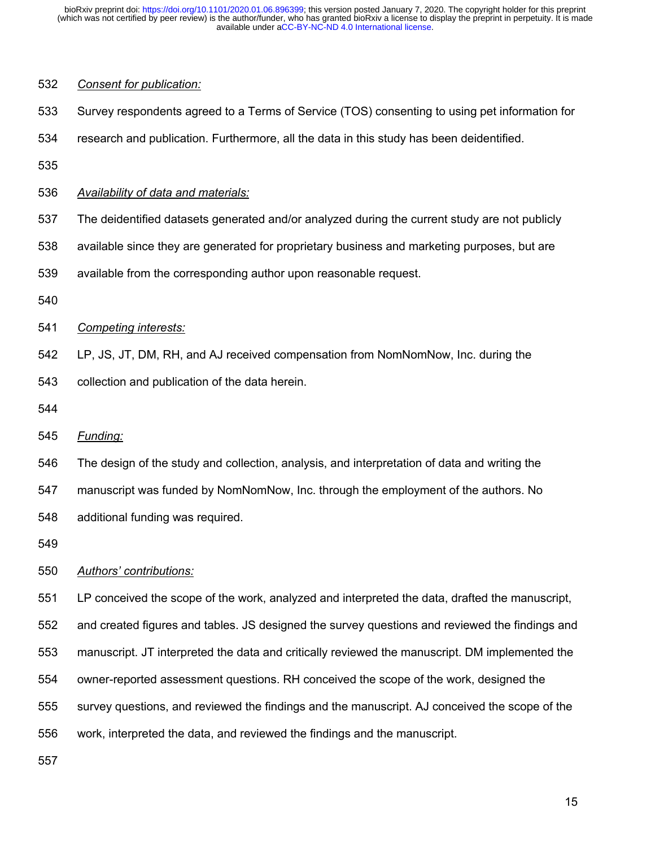| 532 | Consent for publication:                                                                       |
|-----|------------------------------------------------------------------------------------------------|
| 533 | Survey respondents agreed to a Terms of Service (TOS) consenting to using pet information for  |
| 534 | research and publication. Furthermore, all the data in this study has been deidentified.       |
| 535 |                                                                                                |
| 536 | Availability of data and materials:                                                            |
| 537 | The deidentified datasets generated and/or analyzed during the current study are not publicly  |
| 538 | available since they are generated for proprietary business and marketing purposes, but are    |
| 539 | available from the corresponding author upon reasonable request.                               |
| 540 |                                                                                                |
| 541 | <b>Competing interests:</b>                                                                    |
| 542 | LP, JS, JT, DM, RH, and AJ received compensation from NomNomNow, Inc. during the               |
| 543 | collection and publication of the data herein.                                                 |
| 544 |                                                                                                |
| 545 | Funding:                                                                                       |
| 546 | The design of the study and collection, analysis, and interpretation of data and writing the   |
| 547 | manuscript was funded by NomNomNow, Inc. through the employment of the authors. No             |
| 548 | additional funding was required.                                                               |
| 549 |                                                                                                |
| 550 | Authors' contributions:                                                                        |
| 551 | LP conceived the scope of the work, analyzed and interpreted the data, drafted the manuscript, |
| 552 | and created figures and tables. JS designed the survey questions and reviewed the findings and |
| 553 | manuscript. JT interpreted the data and critically reviewed the manuscript. DM implemented the |
| 554 | owner-reported assessment questions. RH conceived the scope of the work, designed the          |
| 555 | survey questions, and reviewed the findings and the manuscript. AJ conceived the scope of the  |

work, interpreted the data, and reviewed the findings and the manuscript.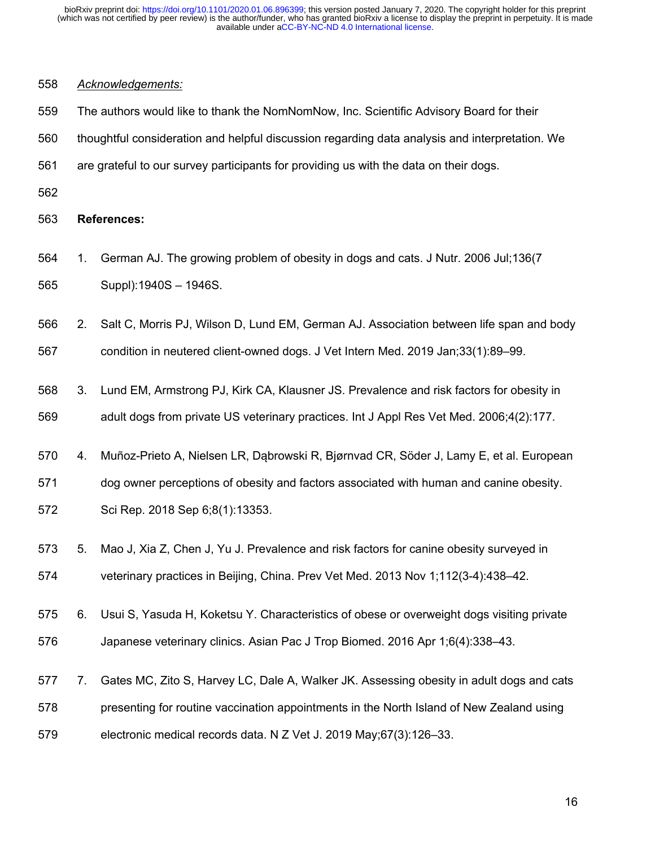## *Acknowledgements:*

| 559 |  | The authors would like to thank the NomNomNow, Inc. Scientific Advisory Board for their |  |  |
|-----|--|-----------------------------------------------------------------------------------------|--|--|
|-----|--|-----------------------------------------------------------------------------------------|--|--|

- thoughtful consideration and helpful discussion regarding data analysis and interpretation. We
- are grateful to our survey participants for providing us with the data on their dogs.
- 

**References:**

 1. German AJ. The growing problem of obesity in dogs and cats. J Nutr. 2006 Jul;136(7 Suppl):1940S – 1946S.

2. Salt C, Morris PJ, Wilson D, Lund EM, German AJ. Association between life span and body

condition in neutered client-owned dogs. J Vet Intern Med. 2019 Jan;33(1):89–99.

- 3. Lund EM, Armstrong PJ, Kirk CA, Klausner JS. Prevalence and risk factors for obesity in adult dogs from private US veterinary practices. Int J Appl Res Vet Med. 2006;4(2):177.
- 4. Muñoz-Prieto A, Nielsen LR, Dąbrowski R, Bjørnvad CR, Söder J, Lamy E, et al. European

dog owner perceptions of obesity and factors associated with human and canine obesity.

- Sci Rep. 2018 Sep 6;8(1):13353.
- 5. Mao J, Xia Z, Chen J, Yu J. Prevalence and risk factors for canine obesity surveyed in veterinary practices in Beijing, China. Prev Vet Med. 2013 Nov 1;112(3-4):438–42.
- 6. Usui S, Yasuda H, Koketsu Y. Characteristics of obese or overweight dogs visiting private Japanese veterinary clinics. Asian Pac J Trop Biomed. 2016 Apr 1;6(4):338–43.
- 7. Gates MC, Zito S, Harvey LC, Dale A, Walker JK. Assessing obesity in adult dogs and cats presenting for routine vaccination appointments in the North Island of New Zealand using electronic medical records data. N Z Vet J. 2019 May;67(3):126–33.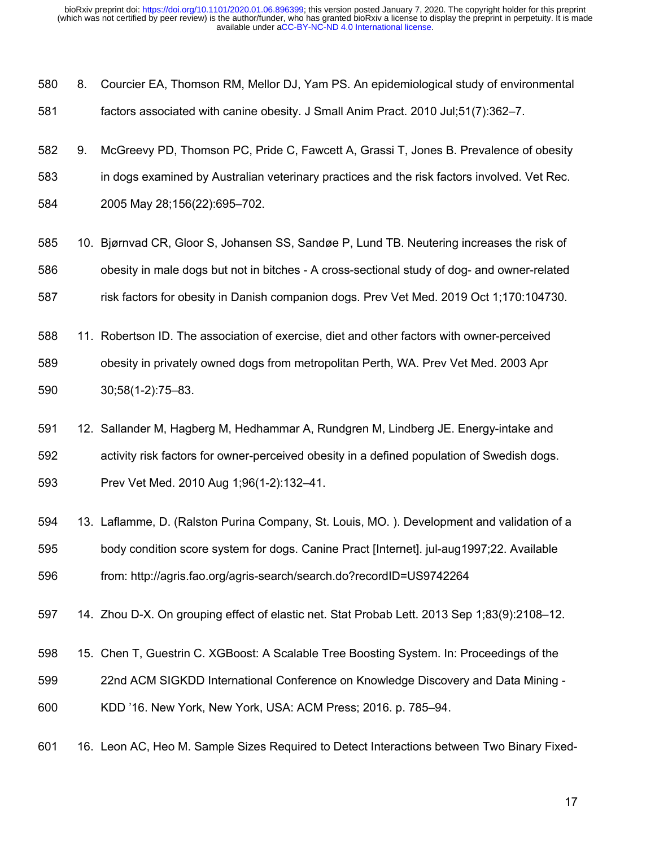| 580 | 8. Courcier EA, Thomson RM, Mellor DJ, Yam PS. An epidemiological study of environmental |
|-----|------------------------------------------------------------------------------------------|
| 581 | factors associated with canine obesity. J Small Anim Pract. 2010 Jul; 51(7): 362–7.      |

- 9. McGreevy PD, Thomson PC, Pride C, Fawcett A, Grassi T, Jones B. Prevalence of obesity in dogs examined by Australian veterinary practices and the risk factors involved. Vet Rec. 2005 May 28;156(22):695–702.
- 10. Bjørnvad CR, Gloor S, Johansen SS, Sandøe P, Lund TB. Neutering increases the risk of obesity in male dogs but not in bitches - A cross-sectional study of dog- and owner-related 587 risk factors for obesity in Danish companion dogs. Prev Vet Med. 2019 Oct 1;170:104730.
- 11. Robertson ID. The association of exercise, diet and other factors with owner-perceived obesity in privately owned dogs from metropolitan Perth, WA. Prev Vet Med. 2003 Apr 30;58(1-2):75–83.
- 12. Sallander M, Hagberg M, Hedhammar A, Rundgren M, Lindberg JE. Energy-intake and activity risk factors for owner-perceived obesity in a defined population of Swedish dogs. Prev Vet Med. 2010 Aug 1;96(1-2):132–41.
- 13. Laflamme, D. (Ralston Purina Company, St. Louis, MO. ). Development and validation of a body condition score system for dogs. Canine Pract [Internet]. jul-aug1997;22. Available from: http://agris.fao.org/agris-search/search.do?recordID=US9742264
- 14. Zhou D-X. On grouping effect of elastic net. Stat Probab Lett. 2013 Sep 1;83(9):2108–12.
- 15. Chen T, Guestrin C. XGBoost: A Scalable Tree Boosting System. In: Proceedings of the
- 22nd ACM SIGKDD International Conference on Knowledge Discovery and Data Mining -
- KDD '16. New York, New York, USA: ACM Press; 2016. p. 785–94.
- 16. Leon AC, Heo M. Sample Sizes Required to Detect Interactions between Two Binary Fixed-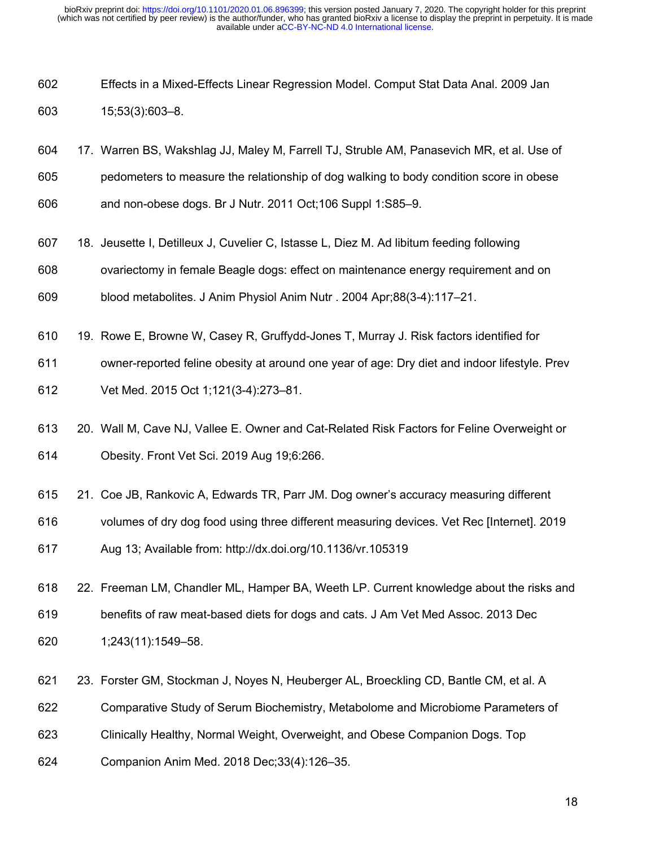- Effects in a Mixed-Effects Linear Regression Model. Comput Stat Data Anal. 2009 Jan 15;53(3):603–8.
- 17. Warren BS, Wakshlag JJ, Maley M, Farrell TJ, Struble AM, Panasevich MR, et al. Use of
- pedometers to measure the relationship of dog walking to body condition score in obese
- and non-obese dogs. Br J Nutr. 2011 Oct;106 Suppl 1:S85–9.
- 18. Jeusette I, Detilleux J, Cuvelier C, Istasse L, Diez M. Ad libitum feeding following
- ovariectomy in female Beagle dogs: effect on maintenance energy requirement and on
- blood metabolites. J Anim Physiol Anim Nutr . 2004 Apr;88(3-4):117–21.
- 19. Rowe E, Browne W, Casey R, Gruffydd-Jones T, Murray J. Risk factors identified for
- owner-reported feline obesity at around one year of age: Dry diet and indoor lifestyle. Prev
- Vet Med. 2015 Oct 1;121(3-4):273–81.
- 20. Wall M, Cave NJ, Vallee E. Owner and Cat-Related Risk Factors for Feline Overweight or Obesity. Front Vet Sci. 2019 Aug 19;6:266.
- 21. Coe JB, Rankovic A, Edwards TR, Parr JM. Dog owner's accuracy measuring different
- volumes of dry dog food using three different measuring devices. Vet Rec [Internet]. 2019
- Aug 13; Available from: http://dx.doi.org/10.1136/vr.105319
- 22. Freeman LM, Chandler ML, Hamper BA, Weeth LP. Current knowledge about the risks and benefits of raw meat-based diets for dogs and cats. J Am Vet Med Assoc. 2013 Dec 1;243(11):1549–58.
- 23. Forster GM, Stockman J, Noyes N, Heuberger AL, Broeckling CD, Bantle CM, et al. A
- Comparative Study of Serum Biochemistry, Metabolome and Microbiome Parameters of
- Clinically Healthy, Normal Weight, Overweight, and Obese Companion Dogs. Top
- Companion Anim Med. 2018 Dec;33(4):126–35.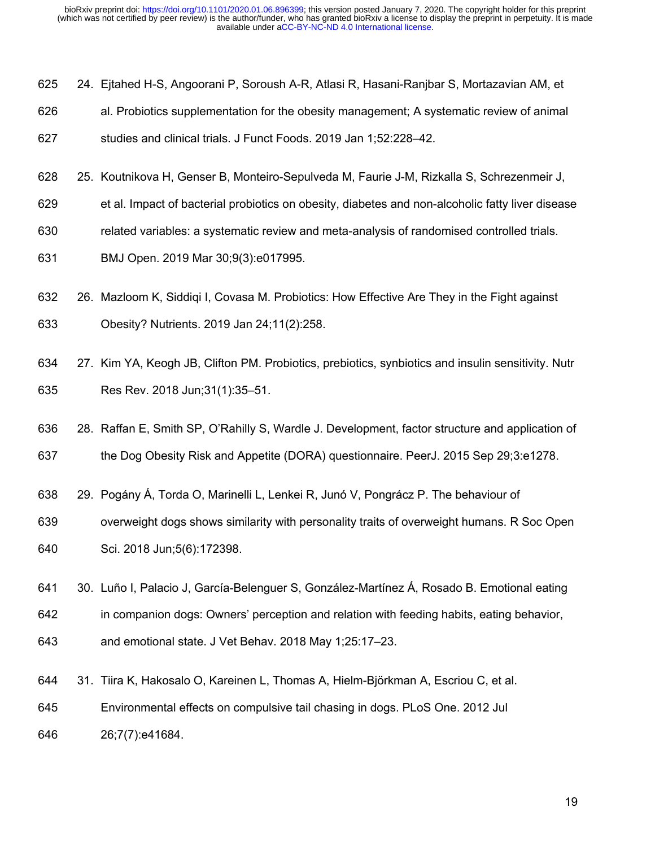- 24. Ejtahed H-S, Angoorani P, Soroush A-R, Atlasi R, Hasani-Ranjbar S, Mortazavian AM, et
- al. Probiotics supplementation for the obesity management; A systematic review of animal
- studies and clinical trials. J Funct Foods. 2019 Jan 1;52:228–42.
- 25. Koutnikova H, Genser B, Monteiro-Sepulveda M, Faurie J-M, Rizkalla S, Schrezenmeir J,
- et al. Impact of bacterial probiotics on obesity, diabetes and non-alcoholic fatty liver disease
- related variables: a systematic review and meta-analysis of randomised controlled trials.
- BMJ Open. 2019 Mar 30;9(3):e017995.
- 26. Mazloom K, Siddiqi I, Covasa M. Probiotics: How Effective Are They in the Fight against Obesity? Nutrients. 2019 Jan 24;11(2):258.
- 27. Kim YA, Keogh JB, Clifton PM. Probiotics, prebiotics, synbiotics and insulin sensitivity. Nutr Res Rev. 2018 Jun;31(1):35–51.
- 28. Raffan E, Smith SP, O'Rahilly S, Wardle J. Development, factor structure and application of
- the Dog Obesity Risk and Appetite (DORA) questionnaire. PeerJ. 2015 Sep 29;3:e1278.
- 29. Pogány Á, Torda O, Marinelli L, Lenkei R, Junó V, Pongrácz P. The behaviour of
- overweight dogs shows similarity with personality traits of overweight humans. R Soc Open Sci. 2018 Jun;5(6):172398.
- 30. Luño I, Palacio J, García-Belenguer S, González-Martínez Á, Rosado B. Emotional eating
- in companion dogs: Owners' perception and relation with feeding habits, eating behavior,
- and emotional state. J Vet Behav. 2018 May 1;25:17–23.
- 31. Tiira K, Hakosalo O, Kareinen L, Thomas A, Hielm-Björkman A, Escriou C, et al.
- Environmental effects on compulsive tail chasing in dogs. PLoS One. 2012 Jul
- 26;7(7):e41684.